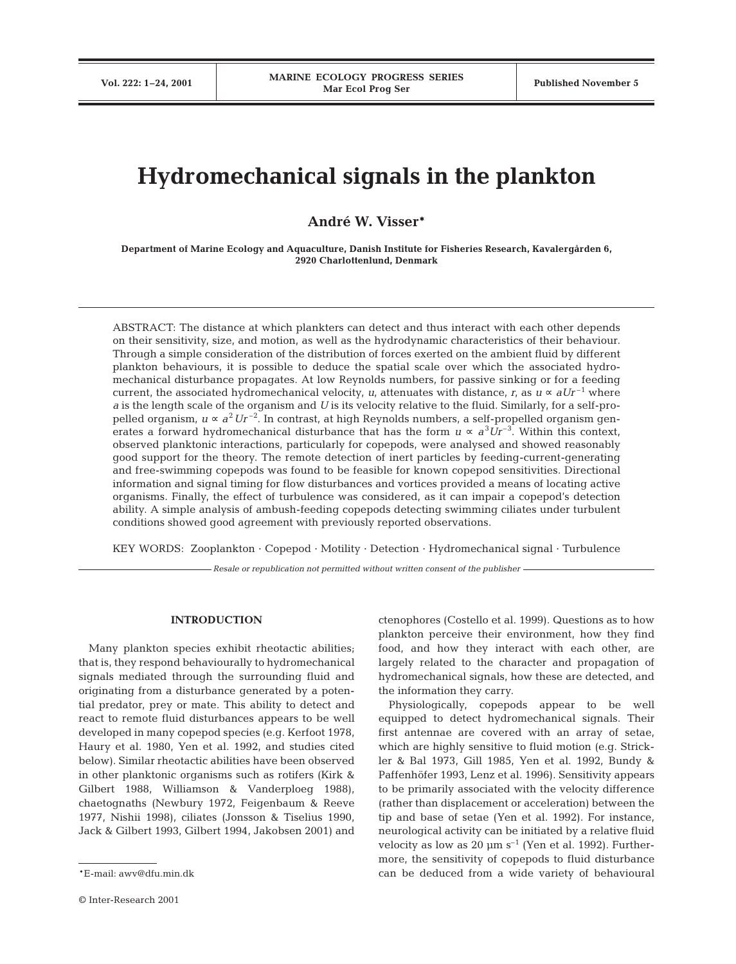# **Hydromechanical signals in the plankton**

**André W. Visser\***

**Department of Marine Ecology and Aquaculture, Danish Institute for Fisheries Research, Kavalergården 6, 2920 Charlottenlund, Denmark**

ABSTRACT: The distance at which plankters can detect and thus interact with each other depends on their sensitivity, size, and motion, as well as the hydrodynamic characteristics of their behaviour. Through a simple consideration of the distribution of forces exerted on the ambient fluid by different plankton behaviours, it is possible to deduce the spatial scale over which the associated hydromechanical disturbance propagates. At low Reynolds numbers, for passive sinking or for a feeding current, the associated hydromechanical velocity, *u*, attenuates with distance, *r*, as  $u \propto aUr^{-1}$  where *a* is the length scale of the organism and *U* is its velocity relative to the fluid. Similarly, for a self-propelled organism,  $u \propto a^2 U r^{-2}$ . In contrast, at high Reynolds numbers, a self-propelled organism generates a forward hydromechanical disturbance that has the form  $u \propto a^3 U r^{-3}$ . Within this context, observed planktonic interactions, particularly for copepods, were analysed and showed reasonably good support for the theory. The remote detection of inert particles by feeding-current-generating and free-swimming copepods was found to be feasible for known copepod sensitivities. Directional information and signal timing for flow disturbances and vortices provided a means of locating active organisms. Finally, the effect of turbulence was considered, as it can impair a copepod's detection ability. A simple analysis of ambush-feeding copepods detecting swimming ciliates under turbulent conditions showed good agreement with previously reported observations.

KEY WORDS: Zooplankton · Copepod · Motility · Detection · Hydromechanical signal · Turbulence

*Resale or republication not permitted without written consent of the publisher*

## **INTRODUCTION**

Many plankton species exhibit rheotactic abilities; that is, they respond behaviourally to hydromechanical signals mediated through the surrounding fluid and originating from a disturbance generated by a potential predator, prey or mate. This ability to detect and react to remote fluid disturbances appears to be well developed in many copepod species (e.g. Kerfoot 1978, Haury et al. 1980, Yen et al. 1992, and studies cited below). Similar rheotactic abilities have been observed in other planktonic organisms such as rotifers (Kirk & Gilbert 1988, Williamson & Vanderploeg 1988), chaetognaths (Newbury 1972, Feigenbaum & Reeve 1977, Nishii 1998), ciliates (Jonsson & Tiselius 1990, Jack & Gilbert 1993, Gilbert 1994, Jakobsen 2001) and

ctenophores (Costello et al. 1999). Questions as to how plankton perceive their environment, how they find food, and how they interact with each other, are largely related to the character and propagation of hydromechanical signals, how these are detected, and the information they carry.

Physiologically, copepods appear to be well equipped to detect hydromechanical signals. Their first antennae are covered with an array of setae, which are highly sensitive to fluid motion (e.g. Strickler & Bal 1973, Gill 1985, Yen et al. 1992, Bundy & Paffenhöfer 1993, Lenz et al. 1996). Sensitivity appears to be primarily associated with the velocity difference (rather than displacement or acceleration) between the tip and base of setae (Yen et al. 1992). For instance, neurological activity can be initiated by a relative fluid velocity as low as 20  $\mu$ m s<sup>-1</sup> (Yen et al. 1992). Furthermore, the sensitivity of copepods to fluid disturbance can be deduced from a wide variety of behavioural

<sup>\*</sup>E-mail: awv@dfu.min.dk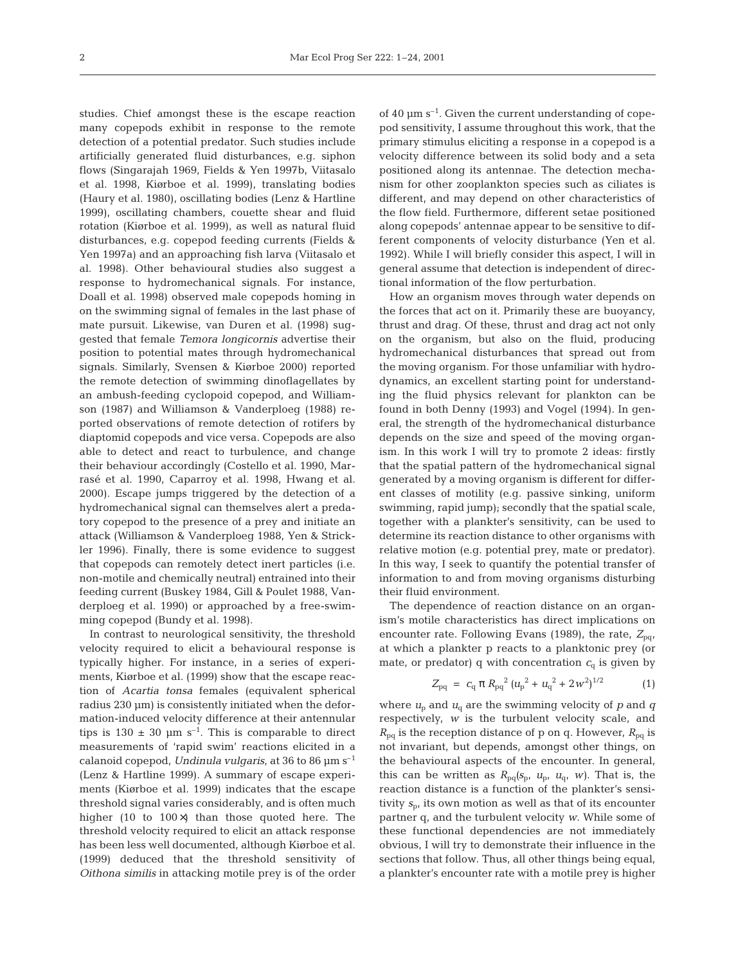studies. Chief amongst these is the escape reaction many copepods exhibit in response to the remote detection of a potential predator. Such studies include artificially generated fluid disturbances, e.g. siphon flows (Singarajah 1969, Fields & Yen 1997b, Viitasalo et al. 1998, Kiørboe et al. 1999), translating bodies (Haury et al. 1980), oscillating bodies (Lenz & Hartline 1999), oscillating chambers, couette shear and fluid rotation (Kiørboe et al. 1999), as well as natural fluid disturbances, e.g. copepod feeding currents (Fields & Yen 1997a) and an approaching fish larva (Viitasalo et al. 1998). Other behavioural studies also suggest a response to hydromechanical signals. For instance, Doall et al. 1998) observed male copepods homing in on the swimming signal of females in the last phase of mate pursuit. Likewise, van Duren et al. (1998) suggested that female *Temora longicornis* advertise their position to potential mates through hydromechanical signals. Similarly, Svensen & Kiørboe 2000) reported the remote detection of swimming dinoflagellates by an ambush-feeding cyclopoid copepod, and Williamson (1987) and Williamson & Vanderploeg (1988) reported observations of remote detection of rotifers by diaptomid copepods and vice versa. Copepods are also able to detect and react to turbulence, and change their behaviour accordingly (Costello et al. 1990, Marrasé et al. 1990, Caparroy et al. 1998, Hwang et al. 2000). Escape jumps triggered by the detection of a hydromechanical signal can themselves alert a predatory copepod to the presence of a prey and initiate an attack (Williamson & Vanderploeg 1988, Yen & Strickler 1996). Finally, there is some evidence to suggest that copepods can remotely detect inert particles (i.e. non-motile and chemically neutral) entrained into their feeding current (Buskey 1984, Gill & Poulet 1988, Vanderploeg et al. 1990) or approached by a free-swimming copepod (Bundy et al. 1998).

In contrast to neurological sensitivity, the threshold velocity required to elicit a behavioural response is typically higher. For instance, in a series of experiments, Kiørboe et al. (1999) show that the escape reaction of *Acartia tonsa* females (equivalent spherical radius 230 µm) is consistently initiated when the deformation-induced velocity difference at their antennular tips is  $130 \pm 30$  µm s<sup>-1</sup>. This is comparable to direct measurements of 'rapid swim' reactions elicited in a calanoid copepod, *Undinula vulgaris*, at 36 to 86 µm s–1 (Lenz & Hartline 1999). A summary of escape experiments (Kiørboe et al. 1999) indicates that the escape threshold signal varies considerably, and is often much higher (10 to 100×) than those quoted here. The threshold velocity required to elicit an attack response has been less well documented, although Kiørboe et al. (1999) deduced that the threshold sensitivity of *Oithona similis* in attacking motile prey is of the order

of 40  $\mu$ m s<sup>-1</sup>. Given the current understanding of copepod sensitivity, I assume throughout this work, that the primary stimulus eliciting a response in a copepod is a velocity difference between its solid body and a seta positioned along its antennae. The detection mechanism for other zooplankton species such as ciliates is different, and may depend on other characteristics of the flow field. Furthermore, different setae positioned along copepods' antennae appear to be sensitive to different components of velocity disturbance (Yen et al. 1992). While I will briefly consider this aspect, I will in general assume that detection is independent of directional information of the flow perturbation.

How an organism moves through water depends on the forces that act on it. Primarily these are buoyancy, thrust and drag. Of these, thrust and drag act not only on the organism, but also on the fluid, producing hydromechanical disturbances that spread out from the moving organism. For those unfamiliar with hydrodynamics, an excellent starting point for understanding the fluid physics relevant for plankton can be found in both Denny (1993) and Vogel (1994). In general, the strength of the hydromechanical disturbance depends on the size and speed of the moving organism. In this work I will try to promote 2 ideas: firstly that the spatial pattern of the hydromechanical signal generated by a moving organism is different for different classes of motility (e.g. passive sinking, uniform swimming, rapid jump); secondly that the spatial scale, together with a plankter's sensitivity, can be used to determine its reaction distance to other organisms with relative motion (e.g. potential prey, mate or predator). In this way, I seek to quantify the potential transfer of information to and from moving organisms disturbing their fluid environment.

The dependence of reaction distance on an organism's motile characteristics has direct implications on encounter rate. Following Evans (1989), the rate,  $Z_{pq}$ , at which a plankter p reacts to a planktonic prey (or mate, or predator) q with concentration  $c<sub>q</sub>$  is given by

$$
Z_{pq} = c_q \pi R_{pq}^2 (u_p^2 + u_q^2 + 2w^2)^{1/2}
$$
 (1)

where  $u_p$  and  $u_q$  are the swimming velocity of  $p$  and  $q$ respectively, *w* is the turbulent velocity scale, and  $R_{pq}$  is the reception distance of p on q. However,  $R_{pq}$  is not invariant, but depends, amongst other things, on the behavioural aspects of the encounter. In general, this can be written as  $R_{pq}(s_p, u_p, u_q, w)$ . That is, the reaction distance is a function of the plankter's sensitivity  $s_p$ , its own motion as well as that of its encounter partner q, and the turbulent velocity *w*. While some of these functional dependencies are not immediately obvious, I will try to demonstrate their influence in the sections that follow. Thus, all other things being equal, a plankter's encounter rate with a motile prey is higher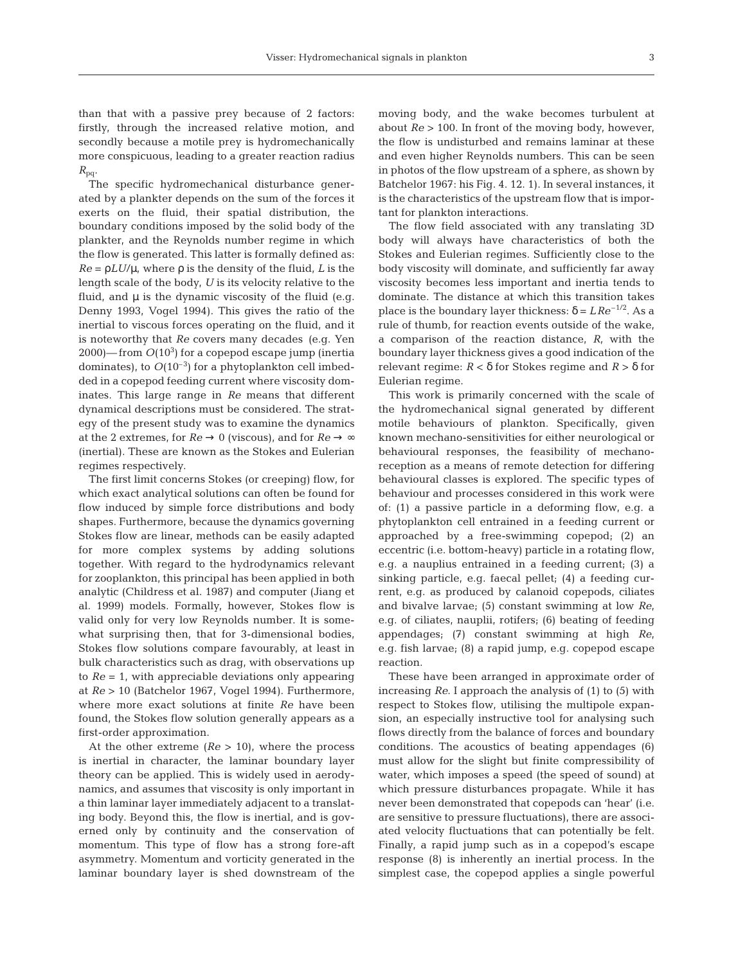than that with a passive prey because of 2 factors: firstly, through the increased relative motion, and secondly because a motile prey is hydromechanically more conspicuous, leading to a greater reaction radius  $R_{pq}$ .

The specific hydromechanical disturbance generated by a plankter depends on the sum of the forces it exerts on the fluid, their spatial distribution, the boundary conditions imposed by the solid body of the plankter, and the Reynolds number regime in which the flow is generated. This latter is formally defined as:  $Re = \rho L U/\mu$ , where  $\rho$  is the density of the fluid, *L* is the length scale of the body, *U* is its velocity relative to the fluid, and  $\mu$  is the dynamic viscosity of the fluid (e.g. Denny 1993, Vogel 1994). This gives the ratio of the inertial to viscous forces operating on the fluid, and it is noteworthy that *Re* covers many decades (e.g. Yen  $2000$ )—from  $O(10^3)$  for a copepod escape jump (inertia dominates), to  $O(10^{-3})$  for a phytoplankton cell imbedded in a copepod feeding current where viscosity dominates. This large range in *Re* means that different dynamical descriptions must be considered. The strategy of the present study was to examine the dynamics at the 2 extremes, for  $Re \rightarrow 0$  (viscous), and for  $Re \rightarrow \infty$ (inertial). These are known as the Stokes and Eulerian regimes respectively.

The first limit concerns Stokes (or creeping) flow, for which exact analytical solutions can often be found for flow induced by simple force distributions and body shapes. Furthermore, because the dynamics governing Stokes flow are linear, methods can be easily adapted for more complex systems by adding solutions together. With regard to the hydrodynamics relevant for zooplankton, this principal has been applied in both analytic (Childress et al. 1987) and computer (Jiang et al. 1999) models. Formally, however, Stokes flow is valid only for very low Reynolds number. It is somewhat surprising then, that for 3-dimensional bodies, Stokes flow solutions compare favourably, at least in bulk characteristics such as drag, with observations up to *Re* = 1, with appreciable deviations only appearing at *Re* > 10 (Batchelor 1967, Vogel 1994). Furthermore, where more exact solutions at finite *Re* have been found, the Stokes flow solution generally appears as a first-order approximation.

At the other extreme (*Re* > 10), where the process is inertial in character, the laminar boundary layer theory can be applied. This is widely used in aerodynamics, and assumes that viscosity is only important in a thin laminar layer immediately adjacent to a translating body. Beyond this, the flow is inertial, and is governed only by continuity and the conservation of momentum. This type of flow has a strong fore-aft asymmetry. Momentum and vorticity generated in the laminar boundary layer is shed downstream of the

moving body, and the wake becomes turbulent at about *Re* > 100. In front of the moving body, however, the flow is undisturbed and remains laminar at these and even higher Reynolds numbers. This can be seen in photos of the flow upstream of a sphere, as shown by Batchelor 1967: his Fig. 4. 12. 1). In several instances, it is the characteristics of the upstream flow that is important for plankton interactions.

The flow field associated with any translating 3D body will always have characteristics of both the Stokes and Eulerian regimes. Sufficiently close to the body viscosity will dominate, and sufficiently far away viscosity becomes less important and inertia tends to dominate. The distance at which this transition takes place is the boundary layer thickness:  $δ = LRe^{-1/2}$ . As a rule of thumb, for reaction events outside of the wake, a comparison of the reaction distance, *R*, with the boundary layer thickness gives a good indication of the relevant regime: *R* < δ for Stokes regime and *R* > δ for Eulerian regime.

This work is primarily concerned with the scale of the hydromechanical signal generated by different motile behaviours of plankton. Specifically, given known mechano-sensitivities for either neurological or behavioural responses, the feasibility of mechanoreception as a means of remote detection for differing behavioural classes is explored. The specific types of behaviour and processes considered in this work were of: (1) a passive particle in a deforming flow, e.g. a phytoplankton cell entrained in a feeding current or approached by a free-swimming copepod; (2) an eccentric (i.e. bottom-heavy) particle in a rotating flow, e.g. a nauplius entrained in a feeding current; (3) a sinking particle, e.g. faecal pellet; (4) a feeding current, e.g. as produced by calanoid copepods, ciliates and bivalve larvae; (5) constant swimming at low *Re*, e.g. of ciliates, nauplii, rotifers; (6) beating of feeding appendages; (7) constant swimming at high *Re*, e.g. fish larvae; (8) a rapid jump, e.g. copepod escape reaction.

These have been arranged in approximate order of increasing *Re*. I approach the analysis of (1) to (5) with respect to Stokes flow, utilising the multipole expansion, an especially instructive tool for analysing such flows directly from the balance of forces and boundary conditions. The acoustics of beating appendages (6) must allow for the slight but finite compressibility of water, which imposes a speed (the speed of sound) at which pressure disturbances propagate. While it has never been demonstrated that copepods can 'hear' (i.e. are sensitive to pressure fluctuations), there are associated velocity fluctuations that can potentially be felt. Finally, a rapid jump such as in a copepod's escape response (8) is inherently an inertial process. In the simplest case, the copepod applies a single powerful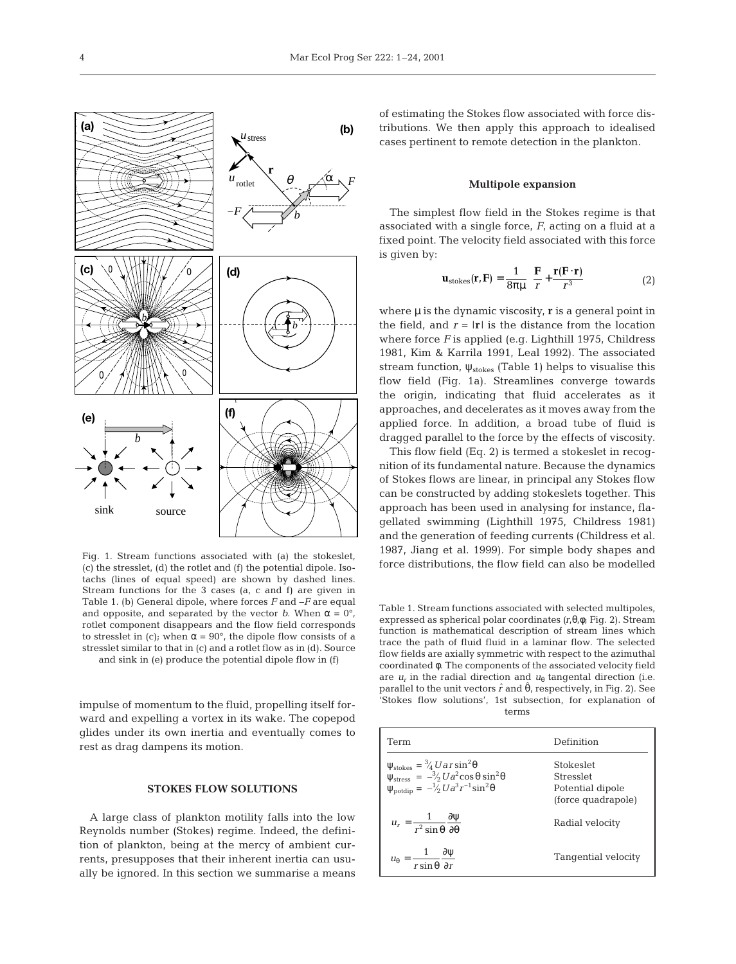

Fig. 1. Stream functions associated with (a) the stokeslet, (c) the stresslet, (d) the rotlet and (f) the potential dipole. Isotachs (lines of equal speed) are shown by dashed lines. Stream functions for the 3 cases (a, c and f) are given in Table 1. (b) General dipole, where forces *F* and –*F* are equal and opposite, and separated by the vector *b*. When  $\alpha = 0^{\circ}$ , rotlet component disappears and the flow field corresponds to stresslet in (c); when  $\alpha = 90^{\circ}$ , the dipole flow consists of a stresslet similar to that in (c) and a rotlet flow as in (d). Source and sink in (e) produce the potential dipole flow in (f)

impulse of momentum to the fluid, propelling itself forward and expelling a vortex in its wake. The copepod glides under its own inertia and eventually comes to

rest as drag dampens its motion.

## **STOKES FLOW SOLUTIONS**

A large class of plankton motility falls into the low Reynolds number (Stokes) regime. Indeed, the definition of plankton, being at the mercy of ambient currents, presupposes that their inherent inertia can usually be ignored. In this section we summarise a means

of estimating the Stokes flow associated with force distributions. We then apply this approach to idealised cases pertinent to remote detection in the plankton.

## **Multipole expansion**

The simplest flow field in the Stokes regime is that associated with a single force, *F*, acting on a fluid at a fixed point. The velocity field associated with this force is given by:

$$
\mathbf{u}_{\text{stokes}}(\mathbf{r}, \mathbf{F}) = \frac{1}{8\pi\mu} \left( \frac{\mathbf{F}}{r} + \frac{\mathbf{r}(\mathbf{F} \cdot \mathbf{r})}{r^3} \right) \tag{2}
$$

where  $\mu$  is the dynamic viscosity, **r** is a general point in the field, and  $r = |\mathbf{r}|$  is the distance from the location where force *F* is applied (e.g. Lighthill 1975, Childress 1981, Kim & Karrila 1991, Leal 1992). The associated stream function,  $\psi_{\text{stokes}}$  (Table 1) helps to visualise this flow field (Fig. 1a). Streamlines converge towards the origin, indicating that fluid accelerates as it approaches, and decelerates as it moves away from the applied force. In addition, a broad tube of fluid is dragged parallel to the force by the effects of viscosity.

This flow field (Eq. 2) is termed a stokeslet in recognition of its fundamental nature. Because the dynamics of Stokes flows are linear, in principal any Stokes flow can be constructed by adding stokeslets together. This approach has been used in analysing for instance, flagellated swimming (Lighthill 1975, Childress 1981) and the generation of feeding currents (Childress et al. 1987, Jiang et al. 1999). For simple body shapes and force distributions, the flow field can also be modelled

Table 1. Stream functions associated with selected multipoles, expressed as spherical polar coordinates *(r*,θ,φ; Fig. 2). Stream function is mathematical description of stream lines which trace the path of fluid fluid in a laminar flow. The selected flow fields are axially symmetric with respect to the azimuthal coordinated φ. The components of the associated velocity field are  $u_r$  in the radial direction and  $u_\theta$  tangental direction (i.e. parallel to the unit vectors  $\hat{r}$  and  $\hat{\theta}$ , respectively, in Fig. 2). See 'Stokes flow solutions', 1st subsection, for explanation of terms

| Term                                                                                                                                                                                                                           | Definition                                                       |
|--------------------------------------------------------------------------------------------------------------------------------------------------------------------------------------------------------------------------------|------------------------------------------------------------------|
| $\begin{array}{l} \psi_{\textrm{stokes}} = \frac{3}{4} U a r \sin^2\theta\\ \psi_{\textrm{stress}} = -\frac{3}{2} U a^2 \cos\theta \sin^2\theta\\ \psi_{\textrm{potdip}} = \frac{-1}{2} U a^3 r^{-1} \sin^2\theta \end{array}$ | Stokeslet<br>Stresslet<br>Potential dipole<br>(force quadrapole) |
| $u_r = \frac{1}{r^2 \sin \theta} \frac{\partial \psi}{\partial \theta}$                                                                                                                                                        | Radial velocity                                                  |
| $u_{\theta} = \frac{1}{r \sin \theta} \frac{\partial \psi}{\partial r}$                                                                                                                                                        | Tangential velocity                                              |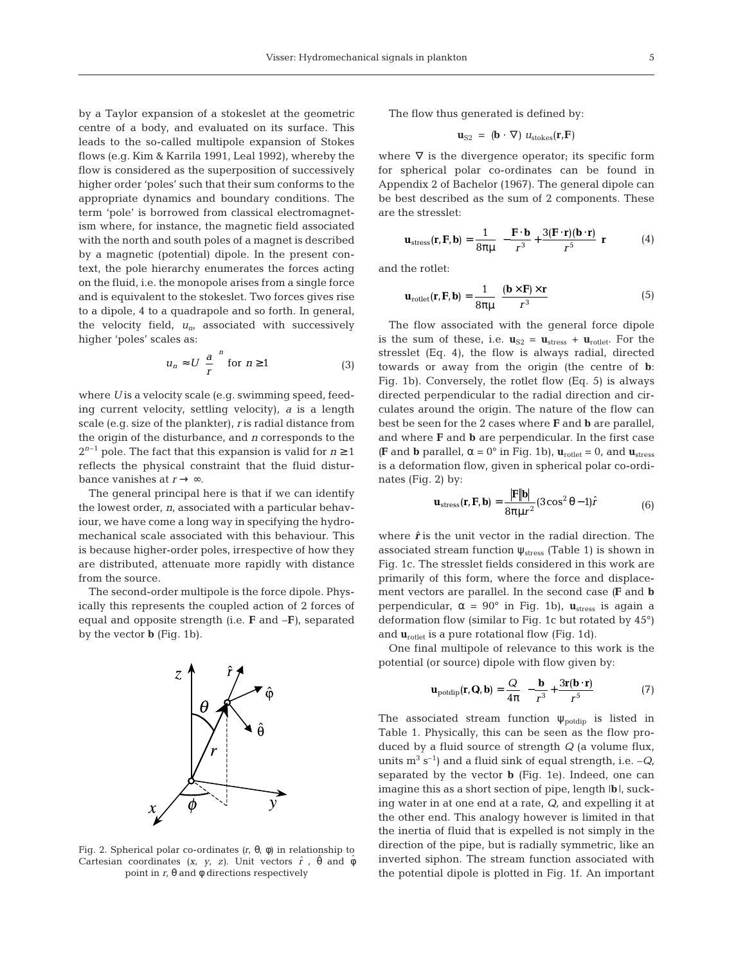by a Taylor expansion of a stokeslet at the geometric centre of a body, and evaluated on its surface. This leads to the so-called multipole expansion of Stokes flows (e.g. Kim & Karrila 1991, Leal 1992), whereby the flow is considered as the superposition of successively higher order 'poles' such that their sum conforms to the appropriate dynamics and boundary conditions. The term 'pole' is borrowed from classical electromagnetism where, for instance, the magnetic field associated with the north and south poles of a magnet is described by a magnetic (potential) dipole. In the present context, the pole hierarchy enumerates the forces acting on the fluid, i.e. the monopole arises from a single force and is equivalent to the stokeslet. Two forces gives rise to a dipole, 4 to a quadrapole and so forth. In general, the velocity field, *un*, associated with successively higher 'poles' scales as:

$$
u_n \approx U \left(\frac{a}{r}\right)^n \text{ for } n \ge 1 \tag{3}
$$

where *U* is a velocity scale (e.g. swimming speed, feeding current velocity, settling velocity), *a* is a length scale (e.g. size of the plankter), *r* is radial distance from the origin of the disturbance, and *n* corresponds to the  $2^{n-1}$  pole. The fact that this expansion is valid for  $n \ge 1$ reflects the physical constraint that the fluid disturbance vanishes at  $r \rightarrow \infty$ .

The general principal here is that if we can identify the lowest order, *n*, associated with a particular behaviour, we have come a long way in specifying the hydromechanical scale associated with this behaviour. This is because higher-order poles, irrespective of how they are distributed, attenuate more rapidly with distance from the source.

The second-order multipole is the force dipole. Physically this represents the coupled action of 2 forces of equal and opposite strength (i.e. **F** and –**F***)*, separated by the vector **b** (Fig. 1b).



Fig. 2. Spherical polar co-ordinates *(r*, θ, φ) in relationship to Cartesian coordinates  $(x, y, z)$ . Unit vectors  $\hat{r}$ ,  $\hat{\theta}$  and  $\hat{\phi}$ point in *r*, θ and φ directions respectively

The flow thus generated is defined by:

$$
\mathbf{u}_{\text{S2}} = (\mathbf{b} \cdot \nabla) u_{\text{stokes}}(\mathbf{r}, \mathbf{F})
$$

where  $\nabla$  is the divergence operator; its specific form for spherical polar co-ordinates can be found in Appendix 2 of Bachelor (1967). The general dipole can be best described as the sum of 2 components. These are the stresslet:

$$
\mathbf{u}_{\text{stress}}(\mathbf{r}, \mathbf{F}, \mathbf{b}) = \frac{1}{8\pi\mu} \left( -\frac{\mathbf{F} \cdot \mathbf{b}}{r^3} + \frac{3(\mathbf{F} \cdot \mathbf{r})(\mathbf{b} \cdot \mathbf{r})}{r^5} \right) \mathbf{r}
$$
(4)

and the rotlet:

$$
\mathbf{u}_{\text{rotlet}}(\mathbf{r}, \mathbf{F}, \mathbf{b}) = \frac{1}{8\pi\mu} \left( \frac{(\mathbf{b} \times \mathbf{F}) \times \mathbf{r}}{r^3} \right) \tag{5}
$$

The flow associated with the general force dipole is the sum of these, i.e.  $\mathbf{u}_{S2} = \mathbf{u}_{stress} + \mathbf{u}_{rotlet}$ . For the stresslet (Eq. 4), the flow is always radial, directed towards or away from the origin (the centre of **b**: Fig. 1b). Conversely, the rotlet flow (Eq. 5) is always directed perpendicular to the radial direction and circulates around the origin. The nature of the flow can best be seen for the 2 cases where **F** and **b** are parallel, and where **F** and **b** are perpendicular. In the first case *(F* and **b** parallel,  $\alpha = 0^\circ$  in Fig. 1b),  $\mathbf{u}_{\text{rotlet}} = 0$ , and  $\mathbf{u}_{\text{stress}}$ is a deformation flow, given in spherical polar co-ordinates (Fig. 2) by:

$$
\mathbf{u}_{\text{stress}}(\mathbf{r}, \mathbf{F}, \mathbf{b}) = \frac{|\mathbf{F}||\mathbf{b}|}{8\pi\mu r^2} (3\cos^2\theta - 1)\hat{r}
$$
(6)

where  $\hat{r}$  is the unit vector in the radial direction. The associated stream function  $\psi_{\text{stress}}$  (Table 1) is shown in Fig. 1c. The stresslet fields considered in this work are primarily of this form, where the force and displacement vectors are parallel. In the second case *(***F** and **b** perpendicular,  $\alpha = 90^{\circ}$  in Fig. 1b),  $\mathbf{u}_{\text{stress}}$  is again a deformation flow (similar to Fig. 1c but rotated by 45°) and  $\mathbf{u}_{\text{rotlet}}$  is a pure rotational flow (Fig. 1d).

One final multipole of relevance to this work is the potential (or source) dipole with flow given by:

$$
\mathbf{u}_{\text{potdip}}(\mathbf{r}, \mathbf{Q}, \mathbf{b}) = \frac{Q}{4\pi} \left( -\frac{\mathbf{b}}{r^3} + \frac{3\mathbf{r}(\mathbf{b} \cdot \mathbf{r})}{r^5} \right) \tag{7}
$$

The associated stream function  $\psi_{\text{podip}}$  is listed in Table 1. Physically, this can be seen as the flow produced by a fluid source of strength *Q* (a volume flux, units  $m^3$  s<sup>-1</sup>) and a fluid sink of equal strength, i.e.  $-Q$ , separated by the vector **b** (Fig. 1e). Indeed, one can imagine this as a short section of pipe, length |**b**|, sucking water in at one end at a rate, *Q*, and expelling it at the other end. This analogy however is limited in that the inertia of fluid that is expelled is not simply in the direction of the pipe, but is radially symmetric, like an inverted siphon. The stream function associated with the potential dipole is plotted in Fig. 1f. An important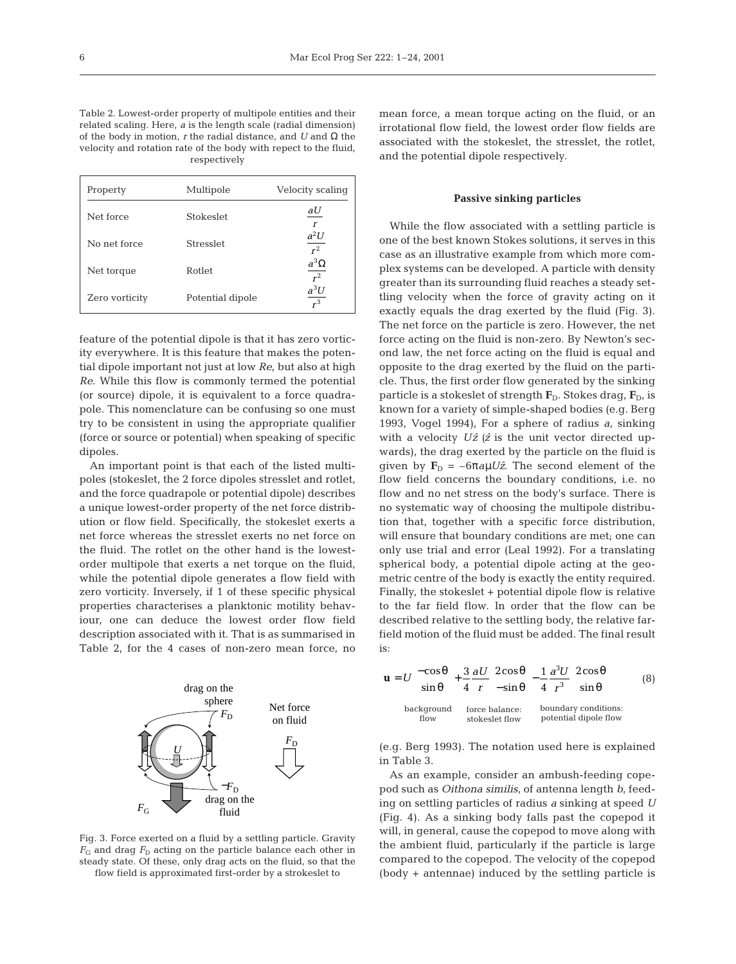Table 2. Lowest-order property of multipole entities and their related scaling. Here, *a* is the length scale (radial dimension) of the body in motion, *r* the radial distance, and *U* and Ω the velocity and rotation rate of the body with repect to the fluid, respectively

| Property       | Multipole        | Velocity scaling           |
|----------------|------------------|----------------------------|
| Net force      | Stokeslet        | aU<br>$\boldsymbol{r}$     |
| No net force   | <b>Stresslet</b> | $a^2U$<br>$\overline{r^2}$ |
| Net torque     | Rotlet           | $a^3\Omega$<br>$r^2$       |
| Zero vorticity | Potential dipole | $a^3U$<br>$r^3$            |

feature of the potential dipole is that it has zero vorticity everywhere. It is this feature that makes the potential dipole important not just at low *Re*, but also at high *Re*. While this flow is commonly termed the potential (or source) dipole, it is equivalent to a force quadrapole. This nomenclature can be confusing so one must try to be consistent in using the appropriate qualifier (force or source or potential) when speaking of specific dipoles.

An important point is that each of the listed multipoles (stokeslet, the 2 force dipoles stresslet and rotlet, and the force quadrapole or potential dipole) describes a unique lowest-order property of the net force distribution or flow field. Specifically, the stokeslet exerts a net force whereas the stresslet exerts no net force on the fluid. The rotlet on the other hand is the lowestorder multipole that exerts a net torque on the fluid, while the potential dipole generates a flow field with zero vorticity. Inversely, if 1 of these specific physical properties characterises a planktonic motility behaviour, one can deduce the lowest order flow field description associated with it. That is as summarised in Table 2, for the 4 cases of non-zero mean force, no



Fig. 3. Force exerted on a fluid by a settling particle. Gravity  $F<sub>G</sub>$  and drag  $F<sub>D</sub>$  acting on the particle balance each other in steady state. Of these, only drag acts on the fluid, so that the flow field is approximated first-order by a strokeslet to

mean force, a mean torque acting on the fluid, or an irrotational flow field, the lowest order flow fields are associated with the stokeslet, the stresslet, the rotlet, and the potential dipole respectively.

#### **Passive sinking particles**

While the flow associated with a settling particle is one of the best known Stokes solutions, it serves in this case as an illustrative example from which more complex systems can be developed. A particle with density greater than its surrounding fluid reaches a steady settling velocity when the force of gravity acting on it exactly equals the drag exerted by the fluid (Fig. 3). The net force on the particle is zero. However, the net force acting on the fluid is non-zero. By Newton's second law, the net force acting on the fluid is equal and opposite to the drag exerted by the fluid on the particle. Thus, the first order flow generated by the sinking particle is a stokeslet of strength  $\mathbf{F}_D$ . Stokes drag,  $\mathbf{F}_D$ , is known for a variety of simple-shaped bodies (e.g. Berg 1993, Vogel 1994), For a sphere of radius *a*, sinking with a velocity  $U\hat{z}$  ( $\hat{z}$  is the unit vector directed upwards), the drag exerted by the particle on the fluid is given by  $\mathbf{F}_{\text{D}} = -6\pi a\mu U\hat{z}$ . The second element of the flow field concerns the boundary conditions, i.e. no flow and no net stress on the body's surface. There is no systematic way of choosing the multipole distribution that, together with a specific force distribution, will ensure that boundary conditions are met; one can only use trial and error (Leal 1992). For a translating spherical body, a potential dipole acting at the geometric centre of the body is exactly the entity required. Finally, the stokeslet + potential dipole flow is relative to the far field flow. In order that the flow can be described relative to the settling body, the relative farfield motion of the fluid must be added. The final result is:

$$
\mathbf{u} = U \begin{bmatrix} -\cos\theta \\ \sin\theta \end{bmatrix} + \frac{3}{4} \frac{aU}{r} \begin{bmatrix} 2\cos\theta \\ -\sin\theta \end{bmatrix} - \frac{1}{4} \frac{a^3U}{r^3} \begin{bmatrix} 2\cos\theta \\ \sin\theta \end{bmatrix}
$$
 (8)  
background force balance: boundary conditions:  
flow  
potential dipole flow

(e.g. Berg 1993). The notation used here is explained in Table 3.

As an example, consider an ambush-feeding copepod such as *Oithona similis*, of antenna length *b*, feeding on settling particles of radius *a* sinking at speed *U* (Fig. 4). As a sinking body falls past the copepod it will, in general, cause the copepod to move along with the ambient fluid, particularly if the particle is large compared to the copepod. The velocity of the copepod (body + antennae) induced by the settling particle is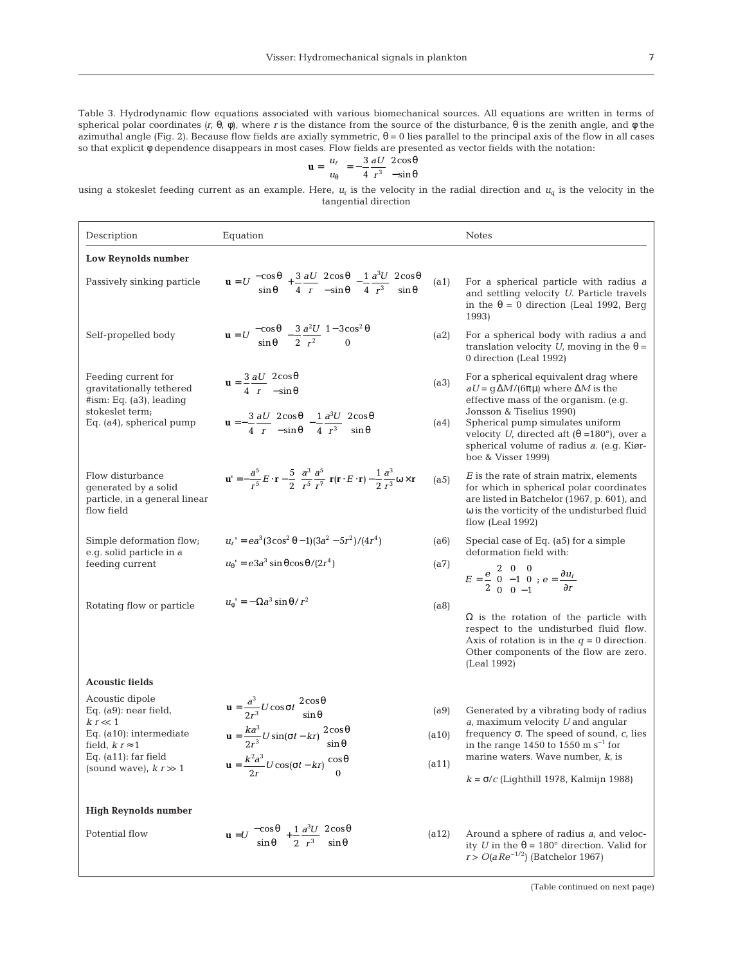Table 3. Hydrodynamic flow equations associated with various biomechanical sources. All equations are written in terms of spherical polar coordinates *(r*, θ, φ), where *r* is the distance from the source of the disturbance, θ is the zenith angle, and φ the azimuthal angle (Fig. 2). Because flow fields are axially symmetric,  $θ = 0$  lies parallel to the principal axis of the flow in all cases so that explicit φ dependence disappears in most cases. Flow fields are presented as vector fields with the notation:

$$
\mathbf{u} = \begin{bmatrix} u_r \\ u_\theta \end{bmatrix} = -\frac{3}{4} \frac{aU}{r^3} \begin{bmatrix} 2\cos\theta \\ -\sin\theta \end{bmatrix}
$$

using a stokeslet feeding current as an example. Here,  $u_r$  is the velocity in the radial direction and  $u_q$  is the velocity in the tangential direction

| Description                                                                             | Equation                                                                                                                                                                                                                                                 |       | <b>Notes</b>                                                                                                                                                                                                       |  |
|-----------------------------------------------------------------------------------------|----------------------------------------------------------------------------------------------------------------------------------------------------------------------------------------------------------------------------------------------------------|-------|--------------------------------------------------------------------------------------------------------------------------------------------------------------------------------------------------------------------|--|
| Low Reynolds number                                                                     |                                                                                                                                                                                                                                                          |       |                                                                                                                                                                                                                    |  |
| Passively sinking particle                                                              | $\mathbf{u} = U \begin{bmatrix} -\cos\theta \\ \sin\theta \end{bmatrix} + \frac{3}{4} \frac{aU}{r} \begin{bmatrix} 2\cos\theta \\ -\sin\theta \end{bmatrix} - \frac{1}{4} \frac{a^3U}{r^3} \begin{bmatrix} 2\cos\theta \\ \sin\theta \end{bmatrix}$ (a1) |       | For a spherical particle with radius $a$<br>and settling velocity U. Particle travels<br>in the $\theta = 0$ direction (Leal 1992, Berg<br>1993)                                                                   |  |
| Self-propelled body                                                                     | $\mathbf{u} = U \begin{bmatrix} -\cos\theta \\ \sin\theta \end{bmatrix} - \frac{3}{2} \frac{a^2 U}{r^2} \begin{bmatrix} 1 - 3\cos^2\theta \\ 0 \end{bmatrix}$                                                                                            | (a2)  | For a spherical body with radius a and<br>translation velocity U, moving in the $\theta =$<br>0 direction (Leal 1992)                                                                                              |  |
| Feeding current for<br>gravitationally tethered<br>#ism: Eq. (a3), leading              | $\mathbf{u} = \frac{3}{4} \frac{\partial U}{\partial r} \begin{bmatrix} 2\cos\theta \\ -\sin\theta \end{bmatrix}$                                                                                                                                        | (a3)  | For a spherical equivalent drag where<br>$aU = g\Delta M/(6\pi\mu)$ where $\Delta M$ is the<br>effective mass of the organism. (e.g.                                                                               |  |
| stokeslet term;<br>Eq. (a4), spherical pump                                             | $\mathbf{u} = -\frac{3}{4} \frac{\partial U}{r} \begin{bmatrix} 2\cos\theta \\ -\sin\theta \end{bmatrix} - \frac{1}{4} \frac{\partial^3 U}{r^3} \begin{bmatrix} 2\cos\theta \\ \sin\theta \end{bmatrix}$                                                 | (a4)  | Jonsson & Tiselius 1990)<br>Spherical pump simulates uniform<br>velocity U, directed aft $(\theta = 180^{\circ})$ , over a<br>spherical volume of radius a. (e.g. Kiør-<br>boe & Visser 1999)                      |  |
| Flow disturbance<br>generated by a solid<br>particle, in a general linear<br>flow field | $\mathbf{u}' = -\frac{a^5}{r^5}E\cdot\mathbf{r} - \frac{5}{2}\left(\frac{a^3}{r^5}\frac{a^5}{r^7}\right)\mathbf{r}(\mathbf{r}\cdot E\cdot\mathbf{r}) - \frac{1}{2}\frac{a^3}{r^3}\omega \times \mathbf{r}$                                               | (a5)  | $E$ is the rate of strain matrix, elements<br>for which in spherical polar coordinates<br>are listed in Batchelor (1967, p. 601), and<br>$\omega$ is the vorticity of the undisturbed fluid<br>flow (Leal $1992$ ) |  |
| Simple deformation flow;<br>e.g. solid particle in a                                    | $u_r' = ea^3(3\cos^2\theta - 1)(3a^2 - 5r^2)/(4r^4)$                                                                                                                                                                                                     | (a6)  | Special case of Eq. (a5) for a simple<br>deformation field with:                                                                                                                                                   |  |
| feeding current                                                                         | $u_{\theta}$ ' = $e^3 a^3 \sin \theta \cos \theta / (2r^4)$                                                                                                                                                                                              | (a7)  | $E = \frac{e}{2} \begin{pmatrix} 2 & 0 & 0 \\ 0 & -1 & 0 \\ 0 & 0 & -1 \end{pmatrix}; e = \frac{\partial u_r}{\partial r}$                                                                                         |  |
| Rotating flow or particle                                                               | $u_{\phi}^{\dagger} = -\Omega a^3 \sin \theta / r^2$                                                                                                                                                                                                     | (a8)  | $\Omega$ is the rotation of the particle with<br>respect to the undisturbed fluid flow.<br>Axis of rotation is in the $q = 0$ direction.<br>Other components of the flow are zero.<br>(Leal 1992)                  |  |
| <b>Acoustic fields</b>                                                                  |                                                                                                                                                                                                                                                          |       |                                                                                                                                                                                                                    |  |
| Acoustic dipole<br>Eq. $(a9)$ : near field,<br>$k r \ll 1$                              | $\mathbf{u} = \frac{a^3}{2r^3} U \cos \sigma t \begin{bmatrix} 2\cos \theta \\ \sin \theta \end{bmatrix}$                                                                                                                                                | (a9)  | Generated by a vibrating body of radius<br>$a$ , maximum velocity $U$ and angular                                                                                                                                  |  |
| Eq. (a10): intermediate<br>field, $k r \approx 1$                                       | $\mathbf{u} = \frac{ka^3}{2r^3} U \sin(\sigma t - kr) \begin{bmatrix} 2\cos\theta \\ \sin\theta \end{bmatrix}$                                                                                                                                           | (a10) | frequency $\sigma$ . The speed of sound, $c$ , lies<br>in the range 1450 to 1550 m $s^{-1}$ for                                                                                                                    |  |
| Eq. (a11): far field<br>(sound wave), $k r \gg 1$                                       | $\mathbf{u} = \frac{k^2 a^3}{2r} U \cos(\sigma t - kr) \begin{bmatrix} \cos \theta \\ 0 \end{bmatrix}$                                                                                                                                                   | (a11) | marine waters. Wave number, $k$ , is<br>$k = \sigma/c$ (Lighthill 1978, Kalmijn 1988)                                                                                                                              |  |
|                                                                                         |                                                                                                                                                                                                                                                          |       |                                                                                                                                                                                                                    |  |
| <b>High Reynolds number</b><br>Potential flow                                           | $\mathbf{u} = U \begin{bmatrix} -\cos\theta \\ \sin\theta \end{bmatrix} + \frac{1}{2} \frac{a^3 U}{r^3} \begin{bmatrix} 2\cos\theta \\ \sin\theta \end{bmatrix}$                                                                                         | (a12) | Around a sphere of radius a, and veloc-<br>ity <i>U</i> in the $\theta = 180^\circ$ direction. Valid for<br>$r > O(aRe^{-1/2})$ (Batchelor 1967)                                                                   |  |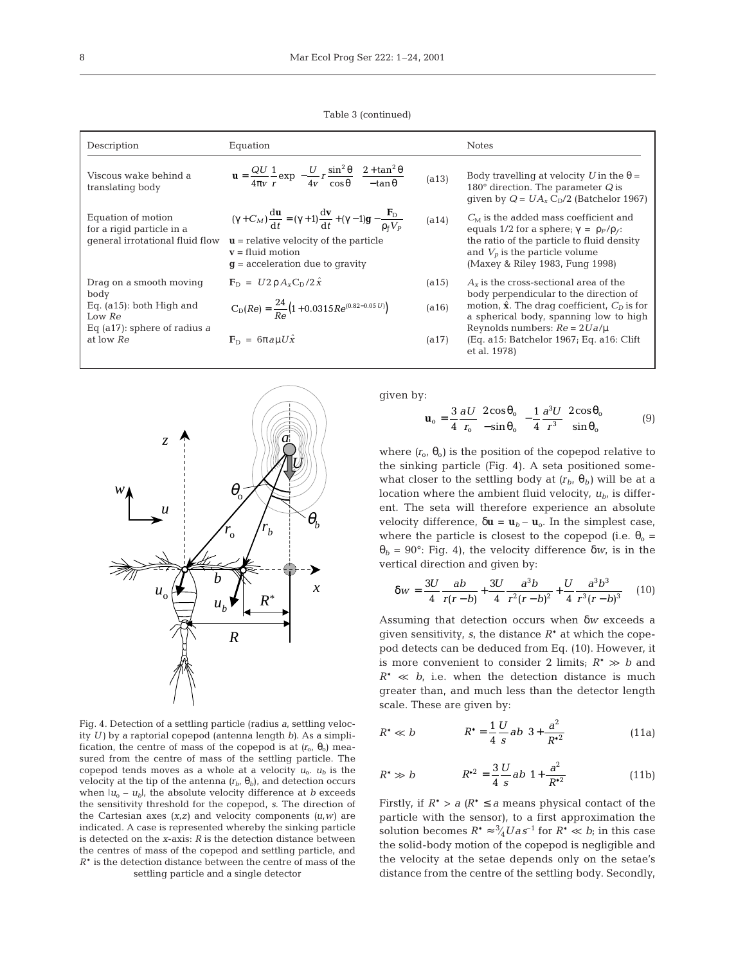Table 3 (continued)

| Description                                                                        | Equation                                                                                                                                                                                                                                                            |       | <b>Notes</b>                                                                                                                                                                                                          |
|------------------------------------------------------------------------------------|---------------------------------------------------------------------------------------------------------------------------------------------------------------------------------------------------------------------------------------------------------------------|-------|-----------------------------------------------------------------------------------------------------------------------------------------------------------------------------------------------------------------------|
| Viscous wake behind a<br>translating body                                          | $\mathbf{u} = \frac{QU}{4\pi v} \frac{1}{r} \exp \left\{ -\frac{U}{4v} r \frac{\sin^2 \theta}{\cos \theta} \right\} \frac{2 + \tan^2 \theta}{- \tan \theta}$                                                                                                        | (a13) | Body travelling at velocity U in the $\theta =$<br>180 $^{\circ}$ direction. The parameter Q is<br>qiven by $Q = UA_x C_0/2$ (Batchelor 1967)                                                                         |
| Equation of motion<br>for a rigid particle in a<br>qeneral irrotational fluid flow | $(\gamma + C_M) \frac{d\mathbf{u}}{dt} = (\gamma + 1) \frac{d\mathbf{v}}{dt} + (\gamma - 1)\mathbf{g} - \frac{\mathbf{F}_{\rm D}}{\rho_{\rm c} V_p}$<br>$\mathbf{u}$ = relative velocity of the particle<br>$v = fluid$ motion<br>$q$ = acceleration due to gravity | (a14) | $C_M$ is the added mass coefficient and<br>equals 1/2 for a sphere; $\gamma = \rho_P / \rho_f$ :<br>the ratio of the particle to fluid density<br>and $V_p$ is the particle volume<br>(Maxey & Riley 1983, Fung 1998) |
| Drag on a smooth moving                                                            | $\mathbf{F}_{\text{D}} = U 2 \rho A_{\text{v}} C_{\text{D}} / 2 \hat{x}$                                                                                                                                                                                            | (a15) | $A_{\rm r}$ is the cross-sectional area of the                                                                                                                                                                        |
| body<br>Eq. $(a15)$ : both High and<br>Low Re<br>Eq (a17): sphere of radius a      | $C_D(Re) = \frac{24}{R_0} (1 + 0.0315Re^{(0.82 - 0.05 U)})$                                                                                                                                                                                                         | (a16) | body perpendicular to the direction of<br>motion, $\hat{\mathbf{x}}$ . The drag coefficient, $C_p$ is for<br>a spherical body, spanning low to high<br>Reynolds numbers: $Re = 2Ua/\mu$                               |
| at low Re                                                                          | $\mathbf{F}_{\text{D}} = 6\pi a u U \hat{x}$                                                                                                                                                                                                                        | (a17) | (Eq. a15: Batchelor 1967; Eq. a16: Clift)<br>et al. 1978)                                                                                                                                                             |



Fig. 4. Detection of a settling particle (radius *a*, settling velocity *U)* by a raptorial copepod (antenna length *b)*. As a simplification, the centre of mass of the copepod is at  $(r_0, \theta_0)$  measured from the centre of mass of the settling particle. The copepod tends moves as a whole at a velocity  $u_0$ .  $u_b$  is the velocity at the tip of the antenna  $(r_b, \theta_b)$ , and detection occurs when  $|u_0 - u_b|$ , the absolute velocity difference at *b* exceeds the sensitivity threshold for the copepod, *s*. The direction of the Cartesian axes  $(x, z)$  and velocity components  $(u, w)$  are indicated. A case is represented whereby the sinking particle is detected on the *x*-axis: *R* is the detection distance between the centres of mass of the copepod and settling particle, and *R*\* is the detection distance between the centre of mass of the settling particle and a single detector

given by:

$$
\mathbf{u}_{\text{o}} = \frac{3}{4} \frac{\partial U}{r_{\text{o}}} \left[ \frac{2 \cos \theta_{\text{o}}}{-\sin \theta_{\text{o}}} \right] - \frac{1}{4} \frac{a^3 U}{r^3} \left[ \frac{2 \cos \theta_{\text{o}}}{\sin \theta_{\text{o}}} \right] \tag{9}
$$

where  $(r_0, \theta_0)$  is the position of the copepod relative to the sinking particle (Fig. 4). A seta positioned somewhat closer to the settling body at  $(r_b, \theta_b)$  will be at a location where the ambient fluid velocity,  $u_{b}$  is different. The seta will therefore experience an absolute velocity difference,  $\delta \mathbf{u} = \mathbf{u}_b - \mathbf{u}_o$ . In the simplest case, where the particle is closest to the copepod (i.e.  $\theta_0 =$ θ*<sup>b</sup>* = 90°: Fig. 4), the velocity difference δ*w*, is in the vertical direction and given by:

$$
\delta w = \frac{3U}{4} \frac{ab}{r(r-b)} + \frac{3U}{4} \frac{a^3b}{r^2(r-b)^2} + \frac{U}{4} \frac{a^3b^3}{r^3(r-b)^3}
$$
 (10)

Assuming that detection occurs when δ*w* exceeds a given sensitivity, *s*, the distance *R*\* at which the copepod detects can be deduced from Eq. (10). However, it is more convenient to consider 2 limits;  $R^* \gg b$  and  $R^* \ll b$ , i.e. when the detection distance is much greater than, and much less than the detector length scale. These are given by:

$$
R^* \ll b
$$
  $R^* = \frac{1}{4} \frac{U}{s} ab \left( 3 + \frac{a^2}{R^{*2}} \right)$  (11a)

$$
R^* \gg b
$$
  $R^{*2} = \frac{3}{4} \frac{U}{s} ab \left( 1 + \frac{a^2}{R^{*2}} \right)$  (11b)

Firstly, if  $R^* > a$  ( $R^* \le a$  means physical contact of the particle with the sensor), to a first approximation the solution becomes  $R^* \approx \frac{3}{4}Uas^{-1}$  for  $R^* \ll b$ ; in this case ⁄ the solid-body motion of the copepod is negligible and the velocity at the setae depends only on the setae's distance from the centre of the settling body. Secondly,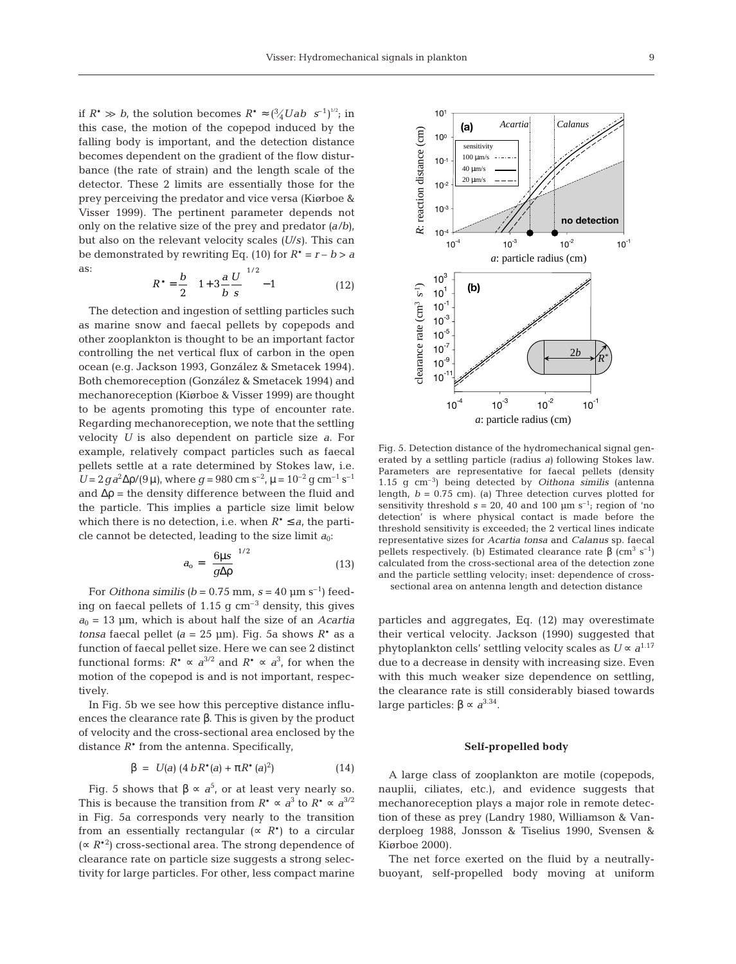if  $R^* \gg b$ , the solution becomes  $R^* \approx \left(\frac{3}{4}Uab \ s^{-1}\right)^{1/2}$ ; in this case, the motion of the copepod induced by the falling body is important, and the detection distance becomes dependent on the gradient of the flow disturbance (the rate of strain) and the length scale of the detector. These 2 limits are essentially those for the prey perceiving the predator and vice versa (Kiørboe & Visser 1999). The pertinent parameter depends not only on the relative size of the prey and predator *(a*/*b)*, but also on the relevant velocity scales *(U*/*s)*. This can be demonstrated by rewriting Eq. (10) for  $R^* = r - b > a$ as: / 1 2

$$
R^* = \frac{b}{2} \left( \left( 1 + 3 \frac{a}{b} \frac{U}{s} \right)^{1/2} - 1 \right) \tag{12}
$$

The detection and ingestion of settling particles such as marine snow and faecal pellets by copepods and other zooplankton is thought to be an important factor controlling the net vertical flux of carbon in the open ocean (e.g. Jackson 1993, González & Smetacek 1994). Both chemoreception (González & Smetacek 1994) and mechanoreception (Kiørboe & Visser 1999) are thought to be agents promoting this type of encounter rate. Regarding mechanoreception, we note that the settling velocity *U* is also dependent on particle size *a*. For example, relatively compact particles such as faecal pellets settle at a rate determined by Stokes law, i.e. *U* = 2*g*a<sup>2</sup>Δρ/(9μ), where *g* = 980 cm s<sup>-2</sup>, μ = 10<sup>-2</sup> g cm<sup>-1</sup> s<sup>-1</sup> and  $\Delta p$  = the density difference between the fluid and the particle. This implies a particle size limit below which there is no detection, i.e. when  $R^* \le a$ , the particle cannot be detected, leading to the size limit  $a_0$ :

$$
a_{o} = \left(\frac{6\mu s}{g\Delta p}\right)^{1/2} \tag{13}
$$

For *Oithona similis* ( $b = 0.75$  mm,  $s = 40$  µm s<sup>-1</sup>) feeding on faecal pellets of 1.15 g  $\text{cm}^{-3}$  density, this gives  $a_0$  = 13 µm, which is about half the size of an *Acartia tonsa* faecal pellet  $(a = 25 \text{ µm})$ . Fig. 5a shows  $R^*$  as a function of faecal pellet size. Here we can see 2 distinct functional forms:  $R^* \propto a^{3/2}$  and  $R^* \propto a^3$ , for when the motion of the copepod is and is not important, respectively.

In Fig. 5b we see how this perceptive distance influences the clearance rate β. This is given by the product of velocity and the cross-sectional area enclosed by the distance  $R^*$  from the antenna. Specifically,

$$
\beta = U(a) (4 b R^*(a) + \pi R^*(a)^2)
$$
 (14)

Fig. 5 shows that  $\beta \propto a^5$ , or at least very nearly so. This is because the transition from  $R^* \propto a^3$  to  $R^* \propto a^{3/2}$ in Fig. 5a corresponds very nearly to the transition from an essentially rectangular ( $\propto R^*$ ) to a circular (∝ *R*\*2 ) cross-sectional area. The strong dependence of clearance rate on particle size suggests a strong selectivity for large particles. For other, less compact marine



Fig. 5. Detection distance of the hydromechanical signal generated by a settling particle (radius *a)* following Stokes law. Parameters are representative for faecal pellets (density 1.15 g cm–3) being detected by *Oithona similis* (antenna length, *b* = 0.75 cm). (a) Three detection curves plotted for sensitivity threshold  $s = 20$ , 40 and 100  $\mu$ m s<sup>-1</sup>; region of 'no detection' is where physical contact is made before the threshold sensitivity is exceeded; the 2 vertical lines indicate representative sizes for *Acartia tonsa* and *Calanus* sp. faecal pellets respectively. (b) Estimated clearance rate  $\beta$  (cm<sup>3</sup> s<sup>-1</sup>) calculated from the cross-sectional area of the detection zone and the particle settling velocity; inset: dependence of cross-

sectional area on antenna length and detection distance

particles and aggregates, Eq. (12) may overestimate their vertical velocity. Jackson (1990) suggested that phytoplankton cells' settling velocity scales as  $U \propto a^{1.17}$ due to a decrease in density with increasing size. Even with this much weaker size dependence on settling, the clearance rate is still considerably biased towards large particles: β  $\propto$  *a*<sup>3.34</sup>.

#### **Self-propelled body**

A large class of zooplankton are motile (copepods, nauplii, ciliates, etc.), and evidence suggests that mechanoreception plays a major role in remote detection of these as prey (Landry 1980, Williamson & Vanderploeg 1988, Jonsson & Tiselius 1990, Svensen & Kiørboe 2000).

The net force exerted on the fluid by a neutrallybuoyant, self-propelled body moving at uniform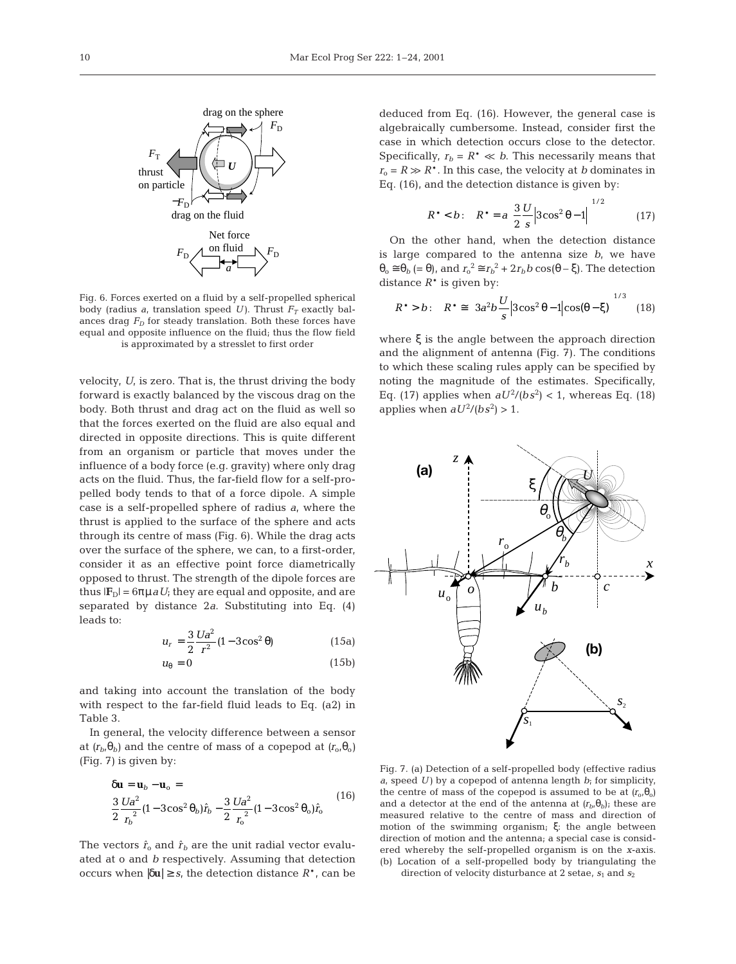

Fig. 6. Forces exerted on a fluid by a self-propelled spherical body (radius *a*, translation speed *U*). Thrust  $F_T$  exactly balances drag  $F<sub>D</sub>$  for steady translation. Both these forces have equal and opposite influence on the fluid; thus the flow field is approximated by a stresslet to first order

velocity, *U*, is zero. That is, the thrust driving the body forward is exactly balanced by the viscous drag on the body. Both thrust and drag act on the fluid as well so that the forces exerted on the fluid are also equal and directed in opposite directions. This is quite different from an organism or particle that moves under the influence of a body force (e.g. gravity) where only drag acts on the fluid. Thus, the far-field flow for a self-propelled body tends to that of a force dipole. A simple case is a self-propelled sphere of radius *a*, where the thrust is applied to the surface of the sphere and acts through its centre of mass (Fig. 6). While the drag acts over the surface of the sphere, we can, to a first-order, consider it as an effective point force diametrically opposed to thrust. The strength of the dipole forces are thus  $|{\bf F}_{D}| = 6\pi \mu a U$ ; they are equal and opposite, and are separated by distance 2*a*. Substituting into Eq. (4) leads to:

$$
u_r = \frac{3}{2} \frac{Ua^2}{r^2} (1 - 3\cos^2 \theta)
$$
 (15a)

$$
u_{\theta} = 0 \tag{15b}
$$

and taking into account the translation of the body with respect to the far-field fluid leads to Eq. (a2) in Table 3.

In general, the velocity difference between a sensor at  $(r_b, \theta_b)$  and the centre of mass of a copepod at  $(r_o, \theta_o)$ (Fig. 7) is given by:

$$
\delta \mathbf{u} = \mathbf{u}_b - \mathbf{u}_o =
$$
  

$$
\frac{3}{2} \frac{Ua^2}{r_b^2} (1 - 3\cos^2 \theta_b) \hat{r}_b - \frac{3}{2} \frac{Ua^2}{r_o^2} (1 - 3\cos^2 \theta_o) \hat{r}_o
$$
 (16)

The vectors  $\hat{r}_0$  and  $\hat{r}_b$  are the unit radial vector evaluated at o and *b* respectively. Assuming that detection occurs when |δ**u**| ≥ *s*, the detection distance *R*\*, can be

deduced from Eq. (16). However, the general case is algebraically cumbersome. Instead, consider first the case in which detection occurs close to the detector. Specifically,  $r_b = R^* \ll b$ . This necessarily means that  $r_0 = R \gg R^*$ . In this case, the velocity at *b* dominates in Eq. (16), and the detection distance is given by:

$$
R^* < b: \quad R^* = a \left( \frac{3}{2} \frac{U}{s} \middle| 3 \cos^2 \theta - 1 \middle| \right)^{1/2} \tag{17}
$$

On the other hand, when the detection distance is large compared to the antenna size *b*, we have  $\theta_0 \approx \theta_b$  (=  $\theta$ ), and  $r_0^2 \approx r_b^2 + 2r_b b \cos(\theta - \xi)$ . The detection distance  $R^*$  is given by:

$$
R^* > b: \quad R^* \cong \left(3a^2b\frac{U}{s}|3\cos^2\theta - 1|\cos(\theta - \xi)\right)^{1/3} \tag{18}
$$

where ξ is the angle between the approach direction and the alignment of antenna (Fig. 7). The conditions to which these scaling rules apply can be specified by noting the magnitude of the estimates. Specifically, Eq. (17) applies when  $aU^2/(bs^2) < 1$ , whereas Eq. (18) applies when  $aU^2/(bs^2) > 1$ .



Fig. 7. (a) Detection of a self-propelled body (effective radius *a*, speed *U)* by a copepod of antenna length *b*; for simplicity, the centre of mass of the copepod is assumed to be at  $(r_0, \theta_0)$ and a detector at the end of the antenna at  $(r_b, \theta_b)$ ; these are measured relative to the centre of mass and direction of motion of the swimming organism; ξ: the angle between direction of motion and the antenna; a special case is considered whereby the self-propelled organism is on the *x*-axis. (b) Location of a self-propelled body by triangulating the direction of velocity disturbance at 2 setae,  $s_{\rm 1}$  and  $s_{\rm 2}$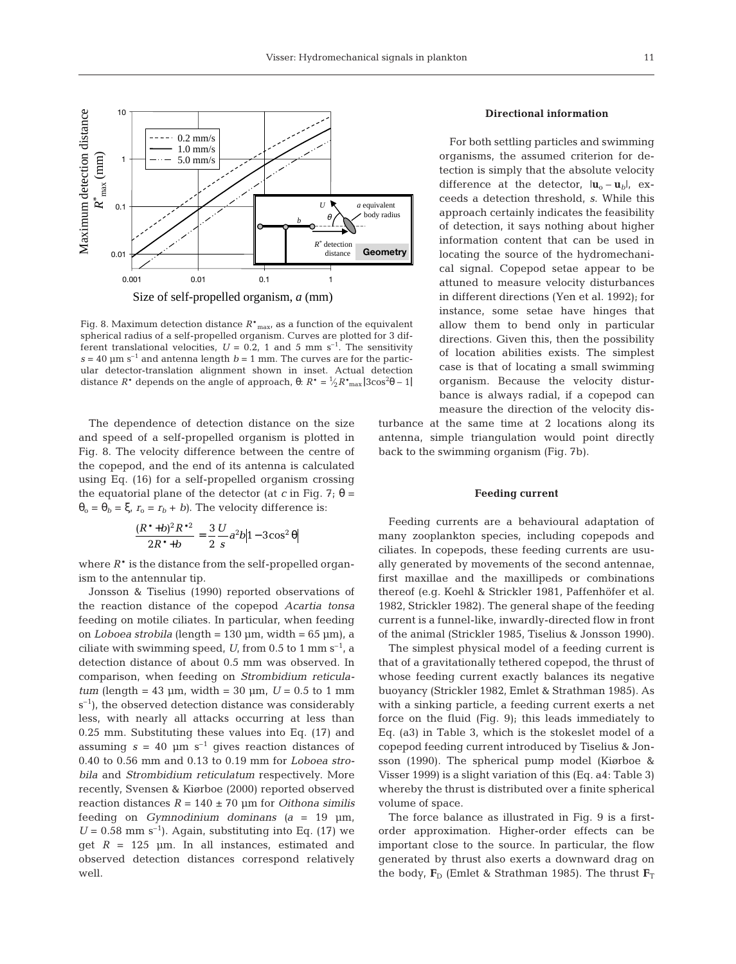

Fig. 8. Maximum detection distance  $R^*_{\text{max}}$  as a function of the equivalent spherical radius of a self-propelled organism. Curves are plotted for 3 different translational velocities,  $U = 0.2$ , 1 and 5 mm s<sup>-1</sup>. The sensitivity  $s = 40$  µm s<sup>-1</sup> and antenna length  $b = 1$  mm. The curves are for the particular detector-translation alignment shown in inset. Actual detection distance  $R^*$  depends on the angle of approach,  $\theta$ :  $R^* = \frac{1}{2}R^*_{\text{max}} |3\cos^2\theta - 1|$ ⁄

The dependence of detection distance on the size and speed of a self-propelled organism is plotted in Fig. 8. The velocity difference between the centre of the copepod, and the end of its antenna is calculated using Eq. (16) for a self-propelled organism crossing the equatorial plane of the detector (at *c* in Fig. 7; θ =  $\theta_0 = \theta_b = \xi$ ,  $r_0 = r_b + b$ ). The velocity difference is:

$$
\frac{(R^*+b)^2R^{*2}}{2R^*+b} = \frac{3}{2}\frac{U}{s}a^2b|1-3\cos^2\theta|
$$

where  $R^*$  is the distance from the self-propelled organism to the antennular tip.

Jonsson & Tiselius (1990) reported observations of the reaction distance of the copepod *Acartia tonsa* feeding on motile ciliates. In particular, when feeding on *Loboea strobila* (length = 130 µm, width = 65 µm), a ciliate with swimming speed,  $U$ , from 0.5 to 1 mm s<sup>-1</sup>, a detection distance of about 0.5 mm was observed. In comparison, when feeding on *Strombidium reticulatum* (length = 43 µm, width = 30 µm,  $U = 0.5$  to 1 mm  $s^{-1}$ ), the observed detection distance was considerably less, with nearly all attacks occurring at less than 0.25 mm. Substituting these values into Eq. (17) and assuming  $s = 40$   $\mu$ m s<sup>-1</sup> gives reaction distances of 0.40 to 0.56 mm and 0.13 to 0.19 mm for *Loboea strobila* and *Strombidium reticulatum* respectively. More recently, Svensen & Kiørboe (2000) reported observed reaction distances  $R = 140 \pm 70$  µm for *Oithona similis* feeding on *Gymnodinium dominans (a* = 19 µm,  $U = 0.58$  mm s<sup>-1</sup>). Again, substituting into Eq. (17) we get  $R = 125$   $\mu$ m. In all instances, estimated and observed detection distances correspond relatively well.

#### **Directional information**

For both settling particles and swimming organisms, the assumed criterion for detection is simply that the absolute velocity difference at the detector,  $|\mathbf{u}_o - \mathbf{u}_b|$ , exceeds a detection threshold, *s*. While this approach certainly indicates the feasibility of detection, it says nothing about higher information content that can be used in locating the source of the hydromechanical signal. Copepod setae appear to be attuned to measure velocity disturbances in different directions (Yen et al. 1992); for instance, some setae have hinges that allow them to bend only in particular directions. Given this, then the possibility of location abilities exists. The simplest case is that of locating a small swimming organism. Because the velocity disturbance is always radial, if a copepod can measure the direction of the velocity dis-

turbance at the same time at 2 locations along its antenna, simple triangulation would point directly back to the swimming organism (Fig. 7b).

#### **Feeding current**

Feeding currents are a behavioural adaptation of many zooplankton species, including copepods and ciliates. In copepods, these feeding currents are usually generated by movements of the second antennae, first maxillae and the maxillipeds or combinations thereof (e.g. Koehl & Strickler 1981, Paffenhöfer et al. 1982, Strickler 1982). The general shape of the feeding current is a funnel-like, inwardly-directed flow in front of the animal (Strickler 1985, Tiselius & Jonsson 1990).

The simplest physical model of a feeding current is that of a gravitationally tethered copepod, the thrust of whose feeding current exactly balances its negative buoyancy (Strickler 1982, Emlet & Strathman 1985). As with a sinking particle, a feeding current exerts a net force on the fluid (Fig. 9); this leads immediately to Eq. (a3) in Table 3, which is the stokeslet model of a copepod feeding current introduced by Tiselius & Jonsson (1990). The spherical pump model (Kiørboe & Visser 1999) is a slight variation of this (Eq. a4: Table 3) whereby the thrust is distributed over a finite spherical volume of space.

The force balance as illustrated in Fig. 9 is a firstorder approximation. Higher-order effects can be important close to the source. In particular, the flow generated by thrust also exerts a downward drag on the body,  $\mathbf{F}_D$  (Emlet & Strathman 1985). The thrust  $\mathbf{F}_T$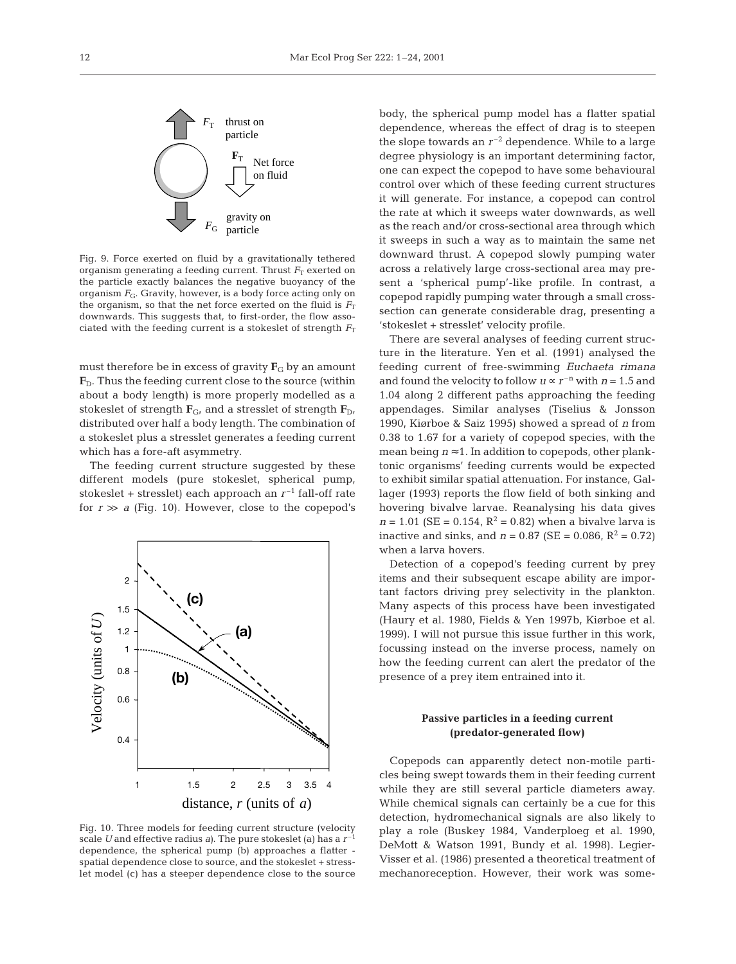

Fig. 9. Force exerted on fluid by a gravitationally tethered organism generating a feeding current. Thrust  $F<sub>T</sub>$  exerted on the particle exactly balances the negative buoyancy of the organism  $F_G$ . Gravity, however, is a body force acting only on the organism, so that the net force exerted on the fluid is  $F<sub>T</sub>$ downwards. This suggests that, to first-order, the flow associated with the feeding current is a stokeslet of strength  $F<sub>T</sub>$ 

must therefore be in excess of gravity  $\mathbf{F}_{\text{G}}$  by an amount  $\mathbf{F}_D$ . Thus the feeding current close to the source (within about a body length) is more properly modelled as a stokeslet of strength  $\mathbf{F}_{G}$ , and a stresslet of strength  $\mathbf{F}_{D}$ , distributed over half a body length. The combination of a stokeslet plus a stresslet generates a feeding current which has a fore-aft asymmetry.

The feeding current structure suggested by these different models (pure stokeslet, spherical pump, stokeslet + stresslet) each approach an  $r^{-1}$  fall-off rate for  $r \gg a$  (Fig. 10). However, close to the copepod's



Fig. 10. Three models for feeding current structure (velocity scale *U* and effective radius *a)*. The pure stokeslet (a) has a *r* –1 dependence, the spherical pump (b) approaches a flatter spatial dependence close to source, and the stokeslet + stresslet model (c) has a steeper dependence close to the source

body, the spherical pump model has a flatter spatial dependence, whereas the effect of drag is to steepen the slope towards an  $r^{-2}$  dependence. While to a large degree physiology is an important determining factor, one can expect the copepod to have some behavioural control over which of these feeding current structures it will generate. For instance, a copepod can control the rate at which it sweeps water downwards, as well as the reach and/or cross-sectional area through which it sweeps in such a way as to maintain the same net downward thrust. A copepod slowly pumping water across a relatively large cross-sectional area may present a 'spherical pump'-like profile. In contrast, a copepod rapidly pumping water through a small crosssection can generate considerable drag, presenting a 'stokeslet + stresslet' velocity profile.

There are several analyses of feeding current structure in the literature. Yen et al. (1991) analysed the feeding current of free-swimming *Euchaeta rimana* and found the velocity to follow  $u \propto r^{-n}$  with  $n = 1.5$  and 1.04 along 2 different paths approaching the feeding appendages. Similar analyses (Tiselius & Jonsson 1990, Kiørboe & Saiz 1995) showed a spread of *n* from 0.38 to 1.67 for a variety of copepod species, with the mean being  $n \approx 1$ . In addition to copepods, other planktonic organisms' feeding currents would be expected to exhibit similar spatial attenuation. For instance, Gallager (1993) reports the flow field of both sinking and hovering bivalve larvae. Reanalysing his data gives  $n = 1.01$  (SE = 0.154, R<sup>2</sup> = 0.82) when a bivalve larva is inactive and sinks, and  $n = 0.87$  (SE = 0.086, R<sup>2</sup> = 0.72) when a larva hovers.

Detection of a copepod's feeding current by prey items and their subsequent escape ability are important factors driving prey selectivity in the plankton. Many aspects of this process have been investigated (Haury et al. 1980, Fields & Yen 1997b, Kiørboe et al. 1999). I will not pursue this issue further in this work, focussing instead on the inverse process, namely on how the feeding current can alert the predator of the presence of a prey item entrained into it.

# **Passive particles in a feeding current (predator-generated flow)**

Copepods can apparently detect non-motile particles being swept towards them in their feeding current while they are still several particle diameters away. While chemical signals can certainly be a cue for this detection, hydromechanical signals are also likely to play a role (Buskey 1984, Vanderploeg et al. 1990, DeMott & Watson 1991, Bundy et al. 1998). Legier-Visser et al. (1986) presented a theoretical treatment of mechanoreception. However, their work was some-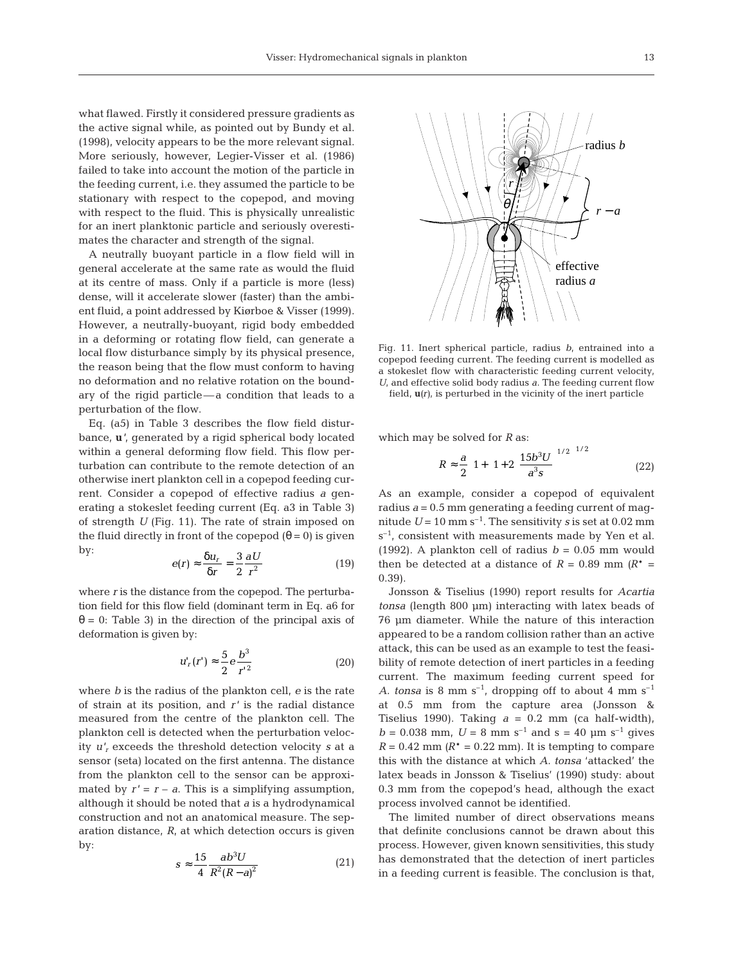what flawed. Firstly it considered pressure gradients as the active signal while, as pointed out by Bundy et al. (1998), velocity appears to be the more relevant signal. More seriously, however, Legier-Visser et al. (1986) failed to take into account the motion of the particle in the feeding current, i.e. they assumed the particle to be stationary with respect to the copepod, and moving with respect to the fluid. This is physically unrealistic for an inert planktonic particle and seriously overestimates the character and strength of the signal.

A neutrally buoyant particle in a flow field will in general accelerate at the same rate as would the fluid at its centre of mass. Only if a particle is more (less) dense, will it accelerate slower (faster) than the ambient fluid, a point addressed by Kiørboe & Visser (1999). However, a neutrally-buoyant, rigid body embedded in a deforming or rotating flow field, can generate a local flow disturbance simply by its physical presence, the reason being that the flow must conform to having no deformation and no relative rotation on the boundary of the rigid particle—a condition that leads to a perturbation of the flow.

Eq. (a5) in Table 3 describes the flow field disturbance, **u***'*, generated by a rigid spherical body located within a general deforming flow field. This flow perturbation can contribute to the remote detection of an otherwise inert plankton cell in a copepod feeding current. Consider a copepod of effective radius *a* generating a stokeslet feeding current (Eq. a3 in Table 3) of strength *U* (Fig. 11). The rate of strain imposed on the fluid directly in front of the copepod  $(θ = 0)$  is given by:

$$
e(r) \approx \frac{\delta u_r}{\delta r} = \frac{3}{2} \frac{\partial U}{r^2}
$$
 (19)

where *r* is the distance from the copepod. The perturbation field for this flow field (dominant term in Eq. a6 for θ = 0: Table 3) in the direction of the principal axis of deformation is given by:

$$
u'_{r}(r') \approx \frac{5}{2} e \frac{b^{3}}{r^{2}}
$$
 (20)

where *b* is the radius of the plankton cell, *e* is the rate of strain at its position, and *r'* is the radial distance measured from the centre of the plankton cell. The plankton cell is detected when the perturbation velocity *u'r* exceeds the threshold detection velocity *s* at a sensor (seta) located on the first antenna. The distance from the plankton cell to the sensor can be approximated by  $r' = r - a$ . This is a simplifying assumption, although it should be noted that *a* is a hydrodynamical construction and not an anatomical measure. The separation distance, *R*, at which detection occurs is given by:

$$
s \approx \frac{15}{4} \frac{ab^3 U}{R^2 (R - a)^2} \tag{21}
$$



Fig. 11. Inert spherical particle, radius *b*, entrained into a copepod feeding current. The feeding current is modelled as a stokeslet flow with characteristic feeding current velocity, *U*, and effective solid body radius *a*. The feeding current flow field, **u***(r),* is perturbed in the vicinity of the inert particle

which may be solved for *R* as:

$$
R \approx \frac{a}{2} \left( 1 + \left( 1 + 2 \left( \frac{15b^3 U}{a^3 s} \right)^{1/2} \right)^{1/2} \right) \tag{22}
$$

As an example, consider a copepod of equivalent radius  $a = 0.5$  mm generating a feeding current of magnitude  $U = 10$  mm s<sup>-1</sup>. The sensitivity *s* is set at 0.02 mm  $s^{-1}$ , consistent with measurements made by Yen et al. (1992). A plankton cell of radius  $b = 0.05$  mm would then be detected at a distance of  $R = 0.89$  mm  $(R^* =$ 0.39).

Jonsson & Tiselius (1990) report results for *Acartia tonsa* (length 800 µm) interacting with latex beads of 76 µm diameter. While the nature of this interaction appeared to be a random collision rather than an active attack, this can be used as an example to test the feasibility of remote detection of inert particles in a feeding current. The maximum feeding current speed for *A. tonsa* is 8 mm  $s^{-1}$ , dropping off to about 4 mm  $s^{-1}$ at 0.5 mm from the capture area (Jonsson & Tiselius 1990). Taking  $a = 0.2$  mm (ca half-width),  $b = 0.038$  mm,  $U = 8$  mm s<sup>-1</sup> and s = 40 µm s<sup>-1</sup> gives  $R = 0.42$  mm  $(R^* = 0.22$  mm). It is tempting to compare this with the distance at which *A. tonsa* 'attacked' the latex beads in Jonsson & Tiselius' (1990) study: about 0.3 mm from the copepod's head, although the exact process involved cannot be identified.

The limited number of direct observations means that definite conclusions cannot be drawn about this process. However, given known sensitivities, this study has demonstrated that the detection of inert particles in a feeding current is feasible. The conclusion is that,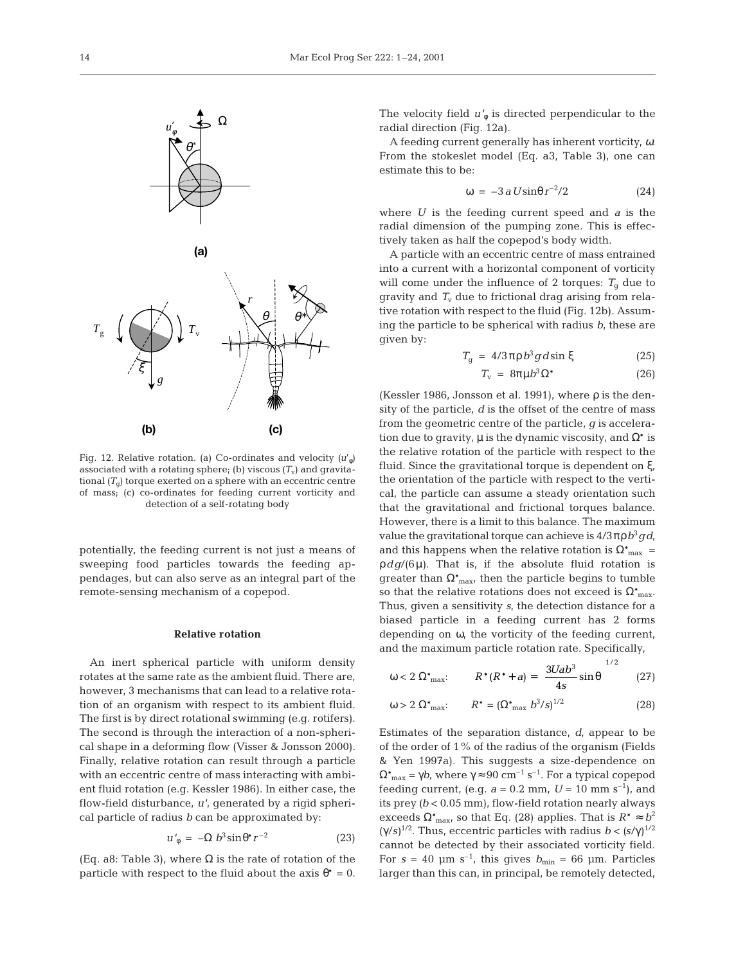

Fig. 12. Relative rotation. (a) Co-ordinates and velocity  $(u'_\phi)$ associated with a rotating sphere; (b) viscous  $(T_v)$  and gravitational  $(T<sub>g</sub>)$  torque exerted on a sphere with an eccentric centre of mass; (c) co-ordinates for feeding current vorticity and detection of a self-rotating body

potentially, the feeding current is not just a means of sweeping food particles towards the feeding appendages, but can also serve as an integral part of the remote-sensing mechanism of a copepod.

## **Relative rotation**

An inert spherical particle with uniform density rotates at the same rate as the ambient fluid. There are, however, 3 mechanisms that can lead to a relative rotation of an organism with respect to its ambient fluid. The first is by direct rotational swimming (e.g. rotifers). The second is through the interaction of a non-spherical shape in a deforming flow (Visser & Jonsson 2000). Finally, relative rotation can result through a particle with an eccentric centre of mass interacting with ambient fluid rotation (e.g. Kessler 1986). In either case, the flow-field disturbance, *u'*, generated by a rigid spherical particle of radius *b* can be approximated by:

$$
u'_{\phi} = -\Omega b^3 \sin \theta^* r^{-2} \tag{23}
$$

(Eq. a8: Table 3), where  $\Omega$  is the rate of rotation of the particle with respect to the fluid about the axis  $\theta^* = 0$ .

The velocity field  $u'_{\phi}$  is directed perpendicular to the radial direction (Fig. 12a).

A feeding current generally has inherent vorticity, ω. From the stokeslet model (Eq. a3, Table 3), one can estimate this to be:

$$
\omega = -3 a U \sin \theta r^{-2} / 2 \tag{24}
$$

where *U* is the feeding current speed and *a* is the radial dimension of the pumping zone. This is effectively taken as half the copepod's body width.

A particle with an eccentric centre of mass entrained into a current with a horizontal component of vorticity will come under the influence of 2 torques:  $T<sub>g</sub>$  due to gravity and  $T_{\rm v}$  due to frictional drag arising from relative rotation with respect to the fluid (Fig. 12b). Assuming the particle to be spherical with radius *b*, these are given by:

$$
T_g = 4/3\pi\rho b^3 g d\sin\xi \qquad (25)
$$

$$
T_{\rm v} = 8\pi\mu b^3 \Omega^* \tag{26}
$$

(Kessler 1986, Jonsson et al. 1991), where  $\rho$  is the density of the particle, *d* is the offset of the centre of mass from the geometric centre of the particle, *g* is acceleration due to gravity,  $\mu$  is the dynamic viscosity, and  $\Omega^*$  is the relative rotation of the particle with respect to the fluid. Since the gravitational torque is dependent on ξ, the orientation of the particle with respect to the vertical, the particle can assume a steady orientation such that the gravitational and frictional torques balance. However, there is a limit to this balance. The maximum value the gravitational torque can achieve is  $4/3πρ b<sup>3</sup> g d$ , and this happens when the relative rotation is  $\Omega^*_{\text{max}} =$ ρ*dg*/(6µ*)*. That is, if the absolute fluid rotation is greater than  $\Omega^*$ <sub>max</sub>, then the particle begins to tumble so that the relative rotations does not exceed is  $\Omega^*$ <sub>max</sub>. Thus, given a sensitivity *s*, the detection distance for a biased particle in a feeding current has 2 forms depending on ω, the vorticity of the feeding current, and the maximum particle rotation rate. Specifically,

$$
\omega < 2 \, \Omega^*_{\text{max}}: \qquad R^*(R^* + a) = \left(\frac{3Uab^3}{4s}\sin\theta\right)^{1/2} \tag{27}
$$

 $\cdot$ 

$$
\omega > 2 \, \Omega_{\text{max}}^* \qquad R^* = (\Omega_{\text{max}}^* \, b^3 / s)^{1/2} \tag{28}
$$

Estimates of the separation distance, *d*, appear to be of the order of 1% of the radius of the organism (Fields & Yen 1997a). This suggests a size-dependence on  $\Omega_{\text{max}}^* = \gamma b$ , where  $\gamma \approx 90 \text{ cm}^{-1} \text{ s}^{-1}$ . For a typical copepod feeding current, (e.g.  $a = 0.2$  mm,  $U = 10$  mm s<sup>-1</sup>), and its prey *(b* < 0.05 mm), flow-field rotation nearly always exceeds  $\Omega^*$ <sub>max</sub>, so that Eq. (28) applies. That is  $R^* \approx b^2$ (γ/*s)*1/2. Thus, eccentric particles with radius *b* < *(s*/γ) 1/2 cannot be detected by their associated vorticity field. For  $s = 40$   $\mu$ m s<sup>-1</sup>, this gives  $b_{\text{min}} = 66$   $\mu$ m. Particles larger than this can, in principal, be remotely detected,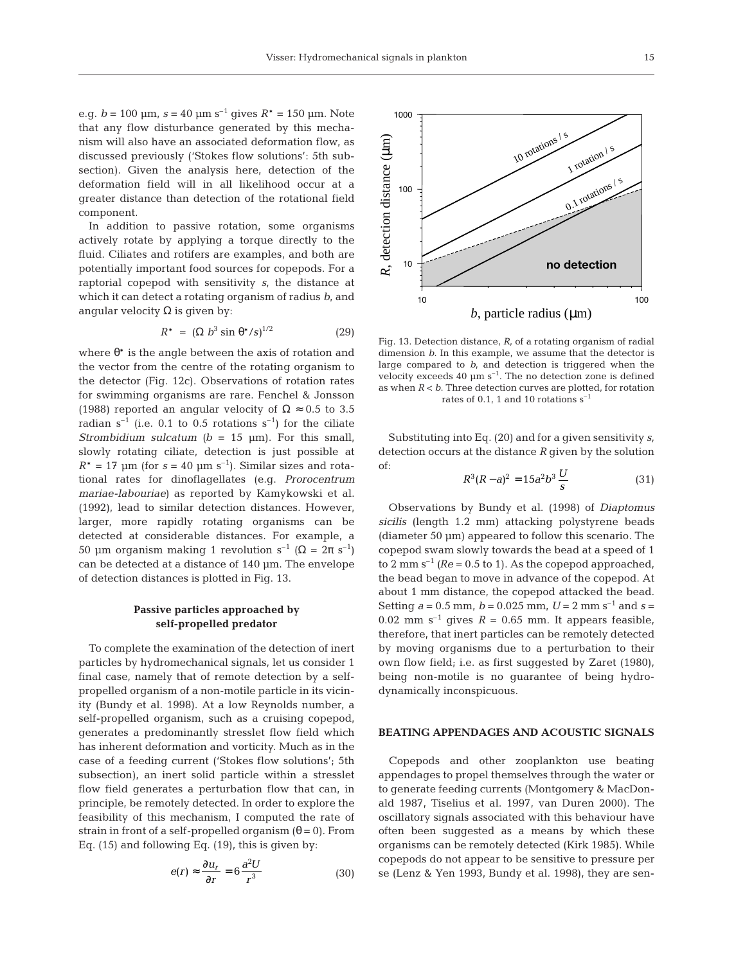e.g.  $b = 100$  um,  $s = 40$  um s<sup>-1</sup> gives  $R^* = 150$  um. Note that any flow disturbance generated by this mechanism will also have an associated deformation flow, as discussed previously ('Stokes flow solutions': 5th subsection). Given the analysis here, detection of the deformation field will in all likelihood occur at a greater distance than detection of the rotational field component.

In addition to passive rotation, some organisms actively rotate by applying a torque directly to the fluid. Ciliates and rotifers are examples, and both are potentially important food sources for copepods. For a raptorial copepod with sensitivity *s*, the distance at which it can detect a rotating organism of radius *b*, and angular velocity  $Ω$  is given by:

$$
R^* = (\Omega b^3 \sin \theta^* / s)^{1/2} \tag{29}
$$

where  $\theta^*$  is the angle between the axis of rotation and the vector from the centre of the rotating organism to the detector (Fig. 12c). Observations of rotation rates for swimming organisms are rare. Fenchel & Jonsson (1988) reported an angular velocity of  $\Omega \approx 0.5$  to 3.5 radian  $s^{-1}$  (i.e. 0.1 to 0.5 rotations  $s^{-1}$ ) for the ciliate *Strombidium sulcatum*  $(b = 15 \text{ µm})$ . For this small, slowly rotating ciliate, detection is just possible at  $R^* = 17$  µm (for  $s = 40$  µm s<sup>-1</sup>). Similar sizes and rotational rates for dinoflagellates (e.g. *Prorocentrum mariae-labouriae)* as reported by Kamykowski et al. (1992), lead to similar detection distances. However, larger, more rapidly rotating organisms can be detected at considerable distances. For example, a 50 µm organism making 1 revolution s<sup>-1</sup> ( $\Omega = 2\pi$  s<sup>-1</sup>) can be detected at a distance of 140 µm. The envelope of detection distances is plotted in Fig. 13.

## **Passive particles approached by self-propelled predator**

To complete the examination of the detection of inert particles by hydromechanical signals, let us consider 1 final case, namely that of remote detection by a selfpropelled organism of a non-motile particle in its vicinity (Bundy et al. 1998). At a low Reynolds number, a self-propelled organism, such as a cruising copepod, generates a predominantly stresslet flow field which has inherent deformation and vorticity. Much as in the case of a feeding current ('Stokes flow solutions'; 5th subsection), an inert solid particle within a stresslet flow field generates a perturbation flow that can, in principle, be remotely detected. In order to explore the feasibility of this mechanism, I computed the rate of strain in front of a self-propelled organism  $(\theta = 0)$ . From Eq. (15) and following Eq. (19), this is given by:

$$
e(r) \approx \frac{\partial u_r}{\partial r} = 6 \frac{a^2 U}{r^3} \tag{30}
$$

*b*, particle radius (µm) 10 100 Fig. 13. Detection distance, *R*, of a rotating organism of radial dimension *b*. In this example, we assume that the detector is large compared to *b*, and detection is triggered when the velocity exceeds 40  $\mu$ m s<sup>-1</sup>. The no detection zone is defined as when *R* < *b*. Three detection curves are plotted, for rotation

rates of 0.1, 1 and 10 rotations  $s^{-1}$ 

Substituting into Eq. (20) and for a given sensitivity *s*, detection occurs at the distance *R* given by the solution of:

$$
R^3(R-a)^2 = 15a^2b^3\frac{U}{s}
$$
 (31)

Observations by Bundy et al. (1998) of *Diaptomus sicilis* (length 1.2 mm) attacking polystyrene beads (diameter 50 µm) appeared to follow this scenario. The copepod swam slowly towards the bead at a speed of 1 to 2 mm  $s^{-1}$  *(Re* = 0.5 to 1). As the copepod approached, the bead began to move in advance of the copepod. At about 1 mm distance, the copepod attacked the bead. Setting  $a = 0.5$  mm,  $b = 0.025$  mm,  $U = 2$  mm s<sup>-1</sup> and s = 0.02 mm  $s^{-1}$  gives  $R = 0.65$  mm. It appears feasible, therefore, that inert particles can be remotely detected by moving organisms due to a perturbation to their own flow field; i.e. as first suggested by Zaret (1980), being non-motile is no guarantee of being hydrodynamically inconspicuous.

# **BEATING APPENDAGES AND ACOUSTIC SIGNALS**

Copepods and other zooplankton use beating appendages to propel themselves through the water or to generate feeding currents (Montgomery & MacDonald 1987, Tiselius et al. 1997, van Duren 2000). The oscillatory signals associated with this behaviour have often been suggested as a means by which these organisms can be remotely detected (Kirk 1985). While copepods do not appear to be sensitive to pressure per se (Lenz & Yen 1993, Bundy et al. 1998), they are sen-

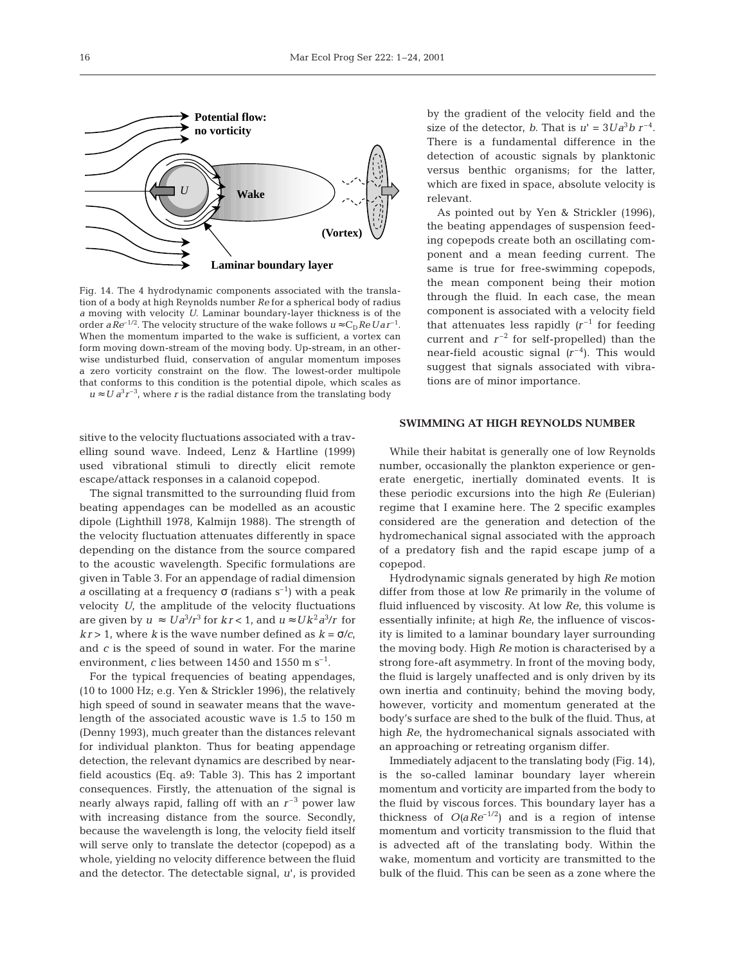

Fig. 14. The 4 hydrodynamic components associated with the translation of a body at high Reynolds number *Re* for a spherical body of radius *a* moving with velocity *U*. Laminar boundary-layer thickness is of the order *aRe*<sup>-1/2</sup>. The velocity structure of the wake follows  $u \approx C_D ReUar^{-1}$ . When the momentum imparted to the wake is sufficient, a vortex can form moving down-stream of the moving body. Up-stream, in an otherwise undisturbed fluid, conservation of angular momentum imposes a zero vorticity constraint on the flow. The lowest-order multipole that conforms to this condition is the potential dipole, which scales as  $u \approx U a^{3} r^{-3}$ , where *r* is the radial distance from the translating body

sitive to the velocity fluctuations associated with a travelling sound wave. Indeed, Lenz & Hartline (1999) used vibrational stimuli to directly elicit remote escape/attack responses in a calanoid copepod.

The signal transmitted to the surrounding fluid from beating appendages can be modelled as an acoustic dipole (Lighthill 1978, Kalmijn 1988). The strength of the velocity fluctuation attenuates differently in space depending on the distance from the source compared to the acoustic wavelength. Specific formulations are given in Table 3. For an appendage of radial dimension *a* oscillating at a frequency  $\sigma$  (radians s<sup>-1</sup>) with a peak velocity *U*, the amplitude of the velocity fluctuations are given by  $u \approx U a^3/r^3$  for  $kr < 1$ , and  $u \approx U k^2 a^3/r$  for  $kr > 1$ , where *k* is the wave number defined as  $k = \sigma/c$ , and *c* is the speed of sound in water. For the marine environment, *c* lies between 1450 and 1550 m  $s^{-1}$ .

For the typical frequencies of beating appendages, (10 to 1000 Hz; e.g. Yen & Strickler 1996), the relatively high speed of sound in seawater means that the wavelength of the associated acoustic wave is 1.5 to 150 m (Denny 1993), much greater than the distances relevant for individual plankton. Thus for beating appendage detection, the relevant dynamics are described by nearfield acoustics (Eq. a9: Table 3). This has 2 important consequences. Firstly, the attenuation of the signal is nearly always rapid, falling off with an  $r^{-3}$  power law with increasing distance from the source. Secondly, because the wavelength is long, the velocity field itself will serve only to translate the detector (copepod) as a whole, yielding no velocity difference between the fluid and the detector. The detectable signal, *u*', is provided

by the gradient of the velocity field and the size of the detector, *b*. That is  $u' = 3Ua^3b r^{-4}$ . There is a fundamental difference in the detection of acoustic signals by planktonic versus benthic organisms; for the latter, which are fixed in space, absolute velocity is relevant.

As pointed out by Yen & Strickler (1996), the beating appendages of suspension feeding copepods create both an oscillating component and a mean feeding current. The same is true for free-swimming copepods, the mean component being their motion through the fluid. In each case, the mean component is associated with a velocity field that attenuates less rapidly  $(r^{-1}$  for feeding current and  $r^{-2}$  for self-propelled) than the near-field acoustic signal  $(r^{-4})$ . This would suggest that signals associated with vibrations are of minor importance.

## **SWIMMING AT HIGH REYNOLDS NUMBER**

While their habitat is generally one of low Reynolds number, occasionally the plankton experience or generate energetic, inertially dominated events. It is these periodic excursions into the high *Re* (Eulerian) regime that I examine here. The 2 specific examples considered are the generation and detection of the hydromechanical signal associated with the approach of a predatory fish and the rapid escape jump of a copepod.

Hydrodynamic signals generated by high *Re* motion differ from those at low *Re* primarily in the volume of fluid influenced by viscosity. At low *Re*, this volume is essentially infinite; at high *Re*, the influence of viscosity is limited to a laminar boundary layer surrounding the moving body. High *Re* motion is characterised by a strong fore-aft asymmetry. In front of the moving body, the fluid is largely unaffected and is only driven by its own inertia and continuity; behind the moving body, however, vorticity and momentum generated at the body's surface are shed to the bulk of the fluid. Thus, at high *Re*, the hydromechanical signals associated with an approaching or retreating organism differ.

Immediately adjacent to the translating body (Fig. 14), is the so-called laminar boundary layer wherein momentum and vorticity are imparted from the body to the fluid by viscous forces. This boundary layer has a thickness of  $O(aRe^{-1/2})$  and is a region of intense momentum and vorticity transmission to the fluid that is advected aft of the translating body. Within the wake, momentum and vorticity are transmitted to the bulk of the fluid. This can be seen as a zone where the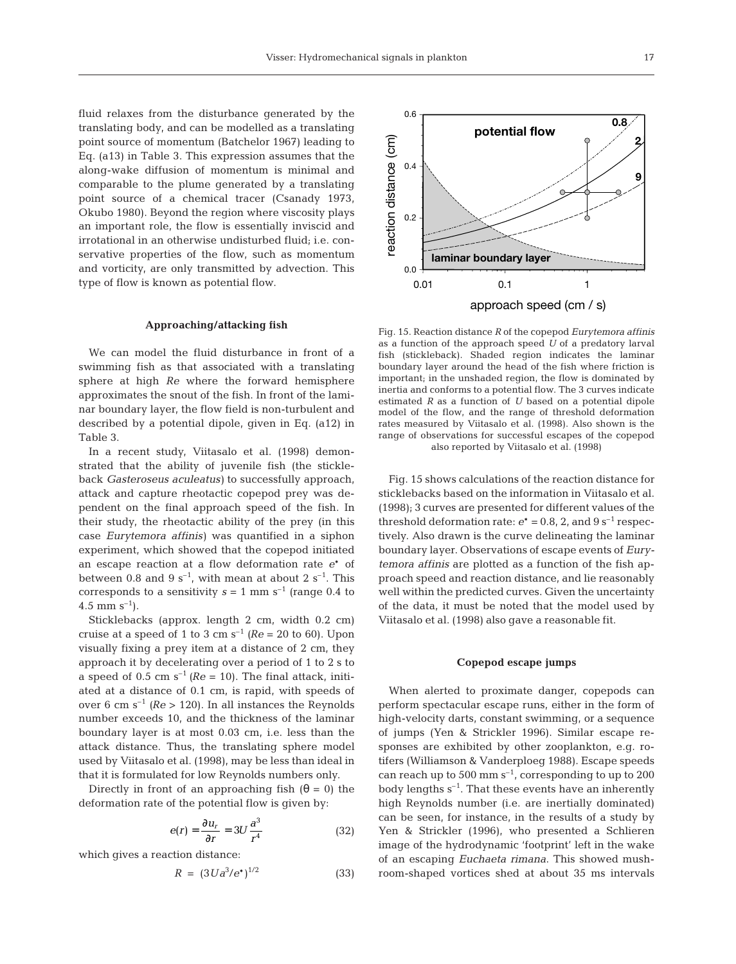fluid relaxes from the disturbance generated by the translating body, and can be modelled as a translating point source of momentum (Batchelor 1967) leading to Eq. (a13) in Table 3. This expression assumes that the along-wake diffusion of momentum is minimal and comparable to the plume generated by a translating point source of a chemical tracer (Csanady 1973, Okubo 1980). Beyond the region where viscosity plays an important role, the flow is essentially inviscid and irrotational in an otherwise undisturbed fluid; i.e. conservative properties of the flow, such as momentum and vorticity, are only transmitted by advection. This type of flow is known as potential flow.

#### **Approaching/attacking fish**

We can model the fluid disturbance in front of a swimming fish as that associated with a translating sphere at high *Re* where the forward hemisphere approximates the snout of the fish. In front of the laminar boundary layer, the flow field is non-turbulent and described by a potential dipole, given in Eq. (a12) in Table 3.

In a recent study, Viitasalo et al. (1998) demonstrated that the ability of juvenile fish (the stickleback *Gasteroseus aculeatus)* to successfully approach, attack and capture rheotactic copepod prey was dependent on the final approach speed of the fish. In their study, the rheotactic ability of the prey (in this case *Eurytemora affinis)* was quantified in a siphon experiment, which showed that the copepod initiated an escape reaction at a flow deformation rate *e*\* of between 0.8 and 9  $s^{-1}$ , with mean at about 2  $s^{-1}$ . This corresponds to a sensitivity  $s = 1$  mm s<sup>-1</sup> (range 0.4 to 4.5 mm  $s^{-1}$ ).

Sticklebacks (approx. length 2 cm, width 0.2 cm) cruise at a speed of 1 to 3 cm  $s^{-1}$  ( $Re = 20$  to 60). Upon visually fixing a prey item at a distance of 2 cm, they approach it by decelerating over a period of 1 to 2 s to a speed of  $0.5 \text{ cm s}^{-1}$  ( $Re = 10$ ). The final attack, initiated at a distance of 0.1 cm, is rapid, with speeds of over 6 cm s<sup>-1</sup> ( $Re > 120$ ). In all instances the Reynolds number exceeds 10, and the thickness of the laminar boundary layer is at most 0.03 cm, i.e. less than the attack distance. Thus, the translating sphere model used by Viitasalo et al. (1998), may be less than ideal in that it is formulated for low Reynolds numbers only.

Directly in front of an approaching fish  $(\theta = 0)$  the deformation rate of the potential flow is given by:

$$
e(r) = \frac{\partial u_r}{\partial r} = 3U \frac{a^3}{r^4} \tag{32}
$$

which gives a reaction distance:

$$
R = (3Ua^3/e^*)^{1/2} \tag{33}
$$



Fig. 15. Reaction distance *R* of the copepod *Eurytemora affinis* as a function of the approach speed *U* of a predatory larval fish (stickleback). Shaded region indicates the laminar boundary layer around the head of the fish where friction is important; in the unshaded region, the flow is dominated by inertia and conforms to a potential flow. The 3 curves indicate estimated *R* as a function of *U* based on a potential dipole model of the flow, and the range of threshold deformation rates measured by Viitasalo et al. (1998). Also shown is the range of observations for successful escapes of the copepod also reported by Viitasalo et al. (1998)

Fig. 15 shows calculations of the reaction distance for sticklebacks based on the information in Viitasalo et al. (1998); 3 curves are presented for different values of the threshold deformation rate:  $e^* = 0.8$ , 2, and  $9 s^{-1}$  respectively. Also drawn is the curve delineating the laminar boundary layer. Observations of escape events of *Eurytemora affinis* are plotted as a function of the fish approach speed and reaction distance, and lie reasonably well within the predicted curves. Given the uncertainty of the data, it must be noted that the model used by Viitasalo et al. (1998) also gave a reasonable fit.

#### **Copepod escape jumps**

When alerted to proximate danger, copepods can perform spectacular escape runs, either in the form of high-velocity darts, constant swimming, or a sequence of jumps (Yen & Strickler 1996). Similar escape responses are exhibited by other zooplankton, e.g. rotifers (Williamson & Vanderploeg 1988). Escape speeds can reach up to 500 mm  $s^{-1}$ , corresponding to up to 200 body lengths  $s^{-1}$ . That these events have an inherently high Reynolds number (i.e. are inertially dominated) can be seen, for instance, in the results of a study by Yen & Strickler (1996), who presented a Schlieren image of the hydrodynamic 'footprint' left in the wake of an escaping *Euchaeta rimana*. This showed mushroom-shaped vortices shed at about 35 ms intervals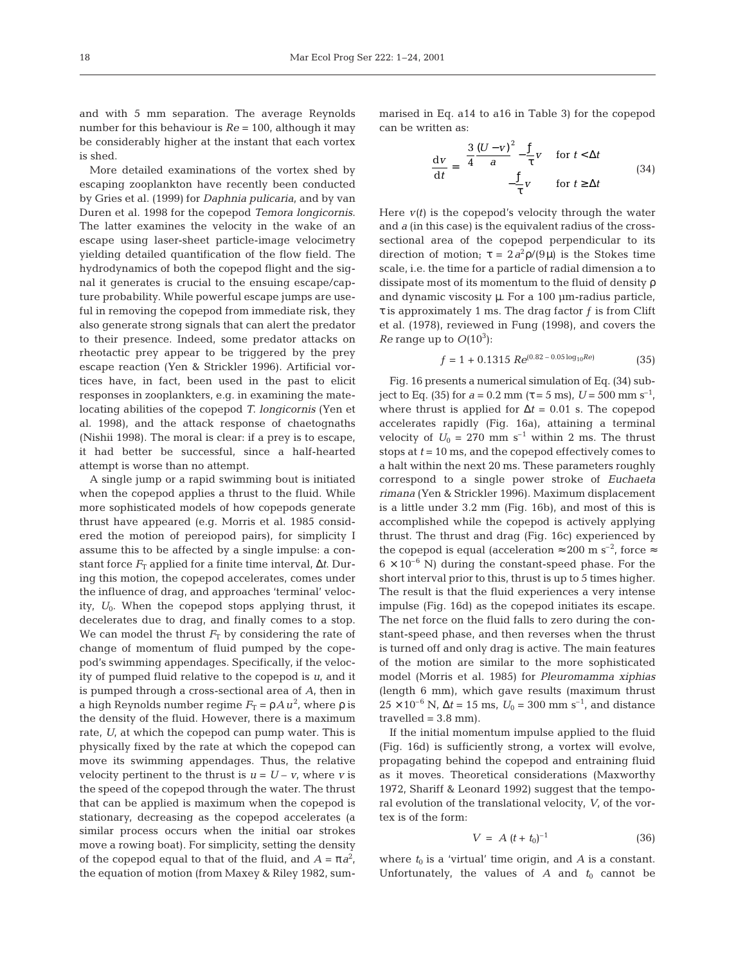and with 5 mm separation. The average Reynolds number for this behaviour is *Re* = 100, although it may be considerably higher at the instant that each vortex is shed.

More detailed examinations of the vortex shed by escaping zooplankton have recently been conducted by Gries et al. (1999) for *Daphnia pulicaria*, and by van Duren et al. 1998 for the copepod *Temora longicornis*. The latter examines the velocity in the wake of an escape using laser-sheet particle-image velocimetry yielding detailed quantification of the flow field. The hydrodynamics of both the copepod flight and the signal it generates is crucial to the ensuing escape/capture probability. While powerful escape jumps are useful in removing the copepod from immediate risk, they also generate strong signals that can alert the predator to their presence. Indeed, some predator attacks on rheotactic prey appear to be triggered by the prey escape reaction (Yen & Strickler 1996). Artificial vortices have, in fact, been used in the past to elicit responses in zooplankters, e.g. in examining the matelocating abilities of the copepod *T. longicornis* (Yen et al. 1998), and the attack response of chaetognaths (Nishii 1998). The moral is clear: if a prey is to escape, it had better be successful, since a half-hearted attempt is worse than no attempt.

A single jump or a rapid swimming bout is initiated when the copepod applies a thrust to the fluid. While more sophisticated models of how copepods generate thrust have appeared (e.g. Morris et al. 1985 considered the motion of pereiopod pairs), for simplicity I assume this to be affected by a single impulse: a constant force  $F<sub>T</sub>$  applied for a finite time interval,  $\Delta t$ . During this motion, the copepod accelerates, comes under the influence of drag, and approaches 'terminal' velocity, *U*0. When the copepod stops applying thrust, it decelerates due to drag, and finally comes to a stop. We can model the thrust  $F<sub>T</sub>$  by considering the rate of change of momentum of fluid pumped by the copepod's swimming appendages. Specifically, if the velocity of pumped fluid relative to the copepod is *u*, and it is pumped through a cross-sectional area of *A*, then in a high Reynolds number regime  $F_T = \rho A u^2$ , where  $\rho$  is the density of the fluid. However, there is a maximum rate, *U*, at which the copepod can pump water. This is physically fixed by the rate at which the copepod can move its swimming appendages. Thus, the relative velocity pertinent to the thrust is  $u = U - v$ , where *v* is the speed of the copepod through the water. The thrust that can be applied is maximum when the copepod is stationary, decreasing as the copepod accelerates (a similar process occurs when the initial oar strokes move a rowing boat). For simplicity, setting the density of the copepod equal to that of the fluid, and  $A = \pi a^2$ , the equation of motion (from Maxey & Riley 1982, sum-

marised in Eq. a14 to a16 in Table 3) for the copepod can be written as:

$$
\frac{dv}{dt} = \begin{cases} \frac{3}{4} \frac{(U - v)^2}{a} - \frac{f}{\tau} v & \text{for } t < \Delta t \\ -\frac{f}{\tau} v & \text{for } t \ge \Delta t \end{cases}
$$
(34)

Here  $v(t)$  is the copepod's velocity through the water and *a* (in this case) is the equivalent radius of the crosssectional area of the copepod perpendicular to its direction of motion;  $\tau = 2a^2 \rho/(9\mu)$  is the Stokes time scale, i.e. the time for a particle of radial dimension a to dissipate most of its momentum to the fluid of density ρ and dynamic viscosity  $\mu$ . For a 100  $\mu$ m-radius particle,  $\tau$  is approximately 1 ms. The drag factor f is from Clift et al. (1978), reviewed in Fung (1998), and covers the *Re* range up to  $O(10^3)$ :

$$
f = 1 + 0.1315 \, Re^{(0.82 - 0.05 \log_{10} Re)} \tag{35}
$$

Fig. 16 presents a numerical simulation of Eq. (34) subject to Eq. (35) for  $a = 0.2$  mm  $(\tau = 5 \text{ ms})$ ,  $U = 500$  mm s<sup>-1</sup>, where thrust is applied for  $\Delta t = 0.01$  s. The copepod accelerates rapidly (Fig. 16a), attaining a terminal velocity of  $U_0 = 270$  mm s<sup>-1</sup> within 2 ms. The thrust stops at *t* = 10 ms, and the copepod effectively comes to a halt within the next 20 ms. These parameters roughly correspond to a single power stroke of *Euchaeta rimana* (Yen & Strickler 1996). Maximum displacement is a little under 3.2 mm (Fig. 16b), and most of this is accomplished while the copepod is actively applying thrust. The thrust and drag (Fig. 16c) experienced by the copepod is equal (acceleration  $\approx 200$  m s<sup>-2</sup>, force  $\approx$  $6 \times 10^{-6}$  N) during the constant-speed phase. For the short interval prior to this, thrust is up to 5 times higher. The result is that the fluid experiences a very intense impulse (Fig. 16d) as the copepod initiates its escape. The net force on the fluid falls to zero during the constant-speed phase, and then reverses when the thrust is turned off and only drag is active. The main features of the motion are similar to the more sophisticated model (Morris et al. 1985) for *Pleuromamma xiphias* (length 6 mm), which gave results (maximum thrust  $25 \times 10^{-6}$  N,  $\Delta t = 15$  ms,  $U_0 = 300$  mm s<sup>-1</sup>, and distance  $travelled = 3.8 mm$ ).

If the initial momentum impulse applied to the fluid (Fig. 16d) is sufficiently strong, a vortex will evolve, propagating behind the copepod and entraining fluid as it moves. Theoretical considerations (Maxworthy 1972, Shariff & Leonard 1992) suggest that the temporal evolution of the translational velocity, *V*, of the vortex is of the form:

$$
V = A (t + t_0)^{-1}
$$
 (36)

where  $t_0$  is a 'virtual' time origin, and  $A$  is a constant. Unfortunately, the values of  $A$  and  $t_0$  cannot be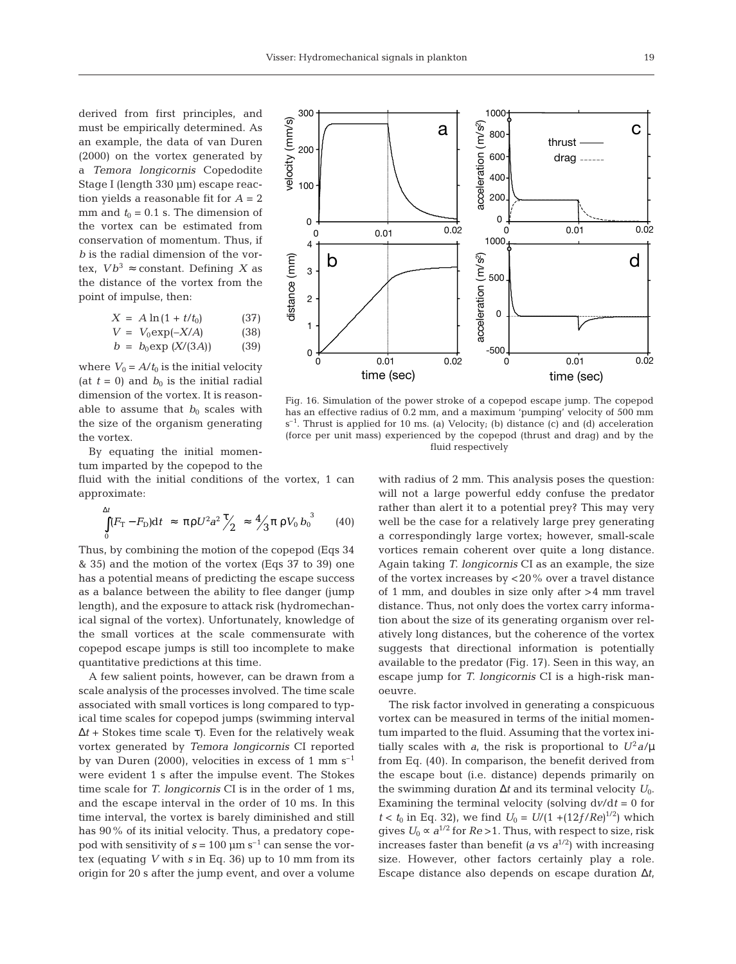derived from first principles, and must be empirically determined. As an example, the data of van Duren (2000) on the vortex generated by a *Temora longicornis* Copedodite Stage I (length 330 µm) escape reaction yields a reasonable fit for *A* = 2 mm and  $t_0 = 0.1$  s. The dimension of the vortex can be estimated from conservation of momentum. Thus, if *b* is the radial dimension of the vortex,  $Vb^3 \approx$  constant. Defining X as the distance of the vortex from the point of impulse, then:

$$
X = A \ln(1 + t/t_0)
$$
 (37)  
\n
$$
V = V_0 \exp(-X/A)
$$
 (38)  
\n
$$
b = b_0 \exp(X/(3A))
$$
 (39)

where  $V_0 = A/t_0$  is the initial velocity (at  $t = 0$ ) and  $b_0$  is the initial radial dimension of the vortex. It is reasonable to assume that  $b_0$  scales with the size of the organism generating the vortex.

By equating the initial momentum imparted by the copepod to the

fluid with the initial conditions of the vortex, 1 can approximate:

$$
\int_{0}^{\Delta t} (F_{\rm T} - F_{\rm D}) \mathrm{d}t \approx \pi \rho U^{2} a^{2} \frac{\tau}{2} \approx \frac{4}{3} \pi \rho V_{0} b_{0}^{3} \qquad (40)
$$

Thus, by combining the motion of the copepod (Eqs 34 & 35) and the motion of the vortex (Eqs 37 to 39) one has a potential means of predicting the escape success as a balance between the ability to flee danger (jump length), and the exposure to attack risk (hydromechanical signal of the vortex). Unfortunately, knowledge of the small vortices at the scale commensurate with copepod escape jumps is still too incomplete to make quantitative predictions at this time.

A few salient points, however, can be drawn from a scale analysis of the processes involved. The time scale associated with small vortices is long compared to typical time scales for copepod jumps (swimming interval ∆*t* + Stokes time scale τ*)*. Even for the relatively weak vortex generated by *Temora longicornis* CI reported by van Duren (2000), velocities in excess of 1 mm  $s^{-1}$ were evident 1 s after the impulse event. The Stokes time scale for *T. longicornis* CI is in the order of 1 ms, and the escape interval in the order of 10 ms. In this time interval, the vortex is barely diminished and still has 90% of its initial velocity. Thus, a predatory copepod with sensitivity of  $s = 100 \mu m s^{-1}$  can sense the vortex (equating *V* with *s* in Eq. 36) up to 10 mm from its origin for 20 s after the jump event, and over a volume



Fig. 16. Simulation of the power stroke of a copepod escape jump. The copepod has an effective radius of 0.2 mm, and a maximum 'pumping' velocity of 500 mm s–1. Thrust is applied for 10 ms. (a) Velocity; (b) distance (c) and (d) acceleration (force per unit mass) experienced by the copepod (thrust and drag) and by the fluid respectively

with radius of 2 mm. This analysis poses the question: will not a large powerful eddy confuse the predator rather than alert it to a potential prey? This may very well be the case for a relatively large prey generating a correspondingly large vortex; however, small-scale vortices remain coherent over quite a long distance. Again taking *T. longicornis* CI as an example, the size of the vortex increases by <20% over a travel distance of 1 mm, and doubles in size only after >4 mm travel distance. Thus, not only does the vortex carry information about the size of its generating organism over relatively long distances, but the coherence of the vortex suggests that directional information is potentially available to the predator (Fig. 17). Seen in this way, an escape jump for *T. longicornis* CI is a high-risk manoeuvre.

The risk factor involved in generating a conspicuous vortex can be measured in terms of the initial momentum imparted to the fluid. Assuming that the vortex initially scales with *a*, the risk is proportional to  $U^2 a/\mu$ from Eq. (40). In comparison, the benefit derived from the escape bout (i.e. distance) depends primarily on the swimming duration ∆*t* and its terminal velocity *U*0. Examining the terminal velocity (solving d*v*/d*t* = 0 for *t* < *t*<sub>0</sub> in Eq. 32), we find  $U_0 = U/(1 + (12f/Re)^{1/2})$  which gives  $U_0 \propto a^{1/2}$  for  $Re > 1$ . Thus, with respect to size, risk increases faster than benefit *(a* vs  $a^{1/2}$ ) with increasing size. However, other factors certainly play a role. Escape distance also depends on escape duration ∆*t*,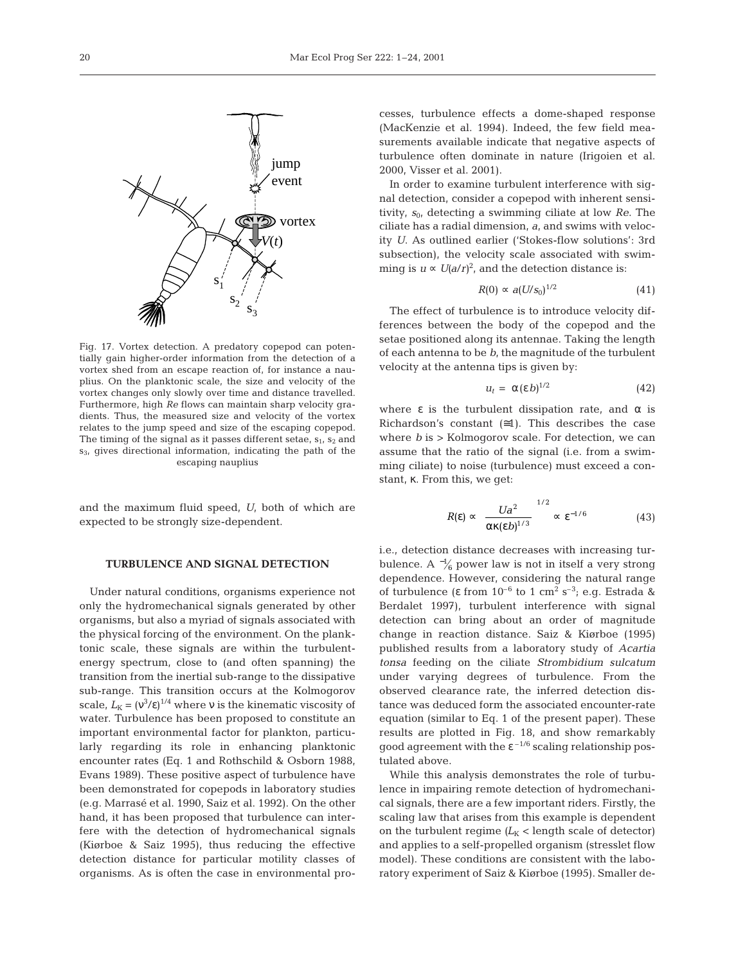

Fig. 17. Vortex detection. A predatory copepod can potentially gain higher-order information from the detection of a vortex shed from an escape reaction of, for instance a nauplius. On the planktonic scale, the size and velocity of the vortex changes only slowly over time and distance travelled. Furthermore, high *Re* flows can maintain sharp velocity gradients. Thus, the measured size and velocity of the vortex relates to the jump speed and size of the escaping copepod. The timing of the signal as it passes different setae,  $s_1$ ,  $s_2$  and  $s<sub>3</sub>$ , gives directional information, indicating the path of the escaping nauplius

and the maximum fluid speed, *U*, both of which are expected to be strongly size-dependent.

# **TURBULENCE AND SIGNAL DETECTION**

Under natural conditions, organisms experience not only the hydromechanical signals generated by other organisms, but also a myriad of signals associated with the physical forcing of the environment. On the planktonic scale, these signals are within the turbulentenergy spectrum, close to (and often spanning) the transition from the inertial sub-range to the dissipative sub-range. This transition occurs at the Kolmogorov scale,  $L_K = (v^3/\varepsilon)^{1/4}$  where v is the kinematic viscosity of water. Turbulence has been proposed to constitute an important environmental factor for plankton, particularly regarding its role in enhancing planktonic encounter rates (Eq. 1 and Rothschild & Osborn 1988, Evans 1989). These positive aspect of turbulence have been demonstrated for copepods in laboratory studies (e.g. Marrasé et al. 1990, Saiz et al. 1992). On the other hand, it has been proposed that turbulence can interfere with the detection of hydromechanical signals (Kiørboe & Saiz 1995), thus reducing the effective detection distance for particular motility classes of organisms. As is often the case in environmental processes, turbulence effects a dome-shaped response (MacKenzie et al. 1994). Indeed, the few field measurements available indicate that negative aspects of turbulence often dominate in nature (Irigoien et al. 2000, Visser et al. 2001).

In order to examine turbulent interference with signal detection, consider a copepod with inherent sensitivity,  $s_0$ , detecting a swimming ciliate at low *Re*. The ciliate has a radial dimension, *a*, and swims with velocity *U*. As outlined earlier ('Stokes-flow solutions': 3rd subsection), the velocity scale associated with swimming is  $u \propto U(a/r)^2$ , and the detection distance is:

$$
R(0) \propto a(U/s_0)^{1/2} \tag{41}
$$

The effect of turbulence is to introduce velocity differences between the body of the copepod and the setae positioned along its antennae. Taking the length of each antenna to be *b*, the magnitude of the turbulent velocity at the antenna tips is given by:

$$
u_t = \alpha (\varepsilon b)^{1/2} \tag{42}
$$

where  $\varepsilon$  is the turbulent dissipation rate, and  $\alpha$  is Richardson's constant  $(≡1)$ . This describes the case where  $b$  is  $>$  Kolmogorov scale. For detection, we can assume that the ratio of the signal (i.e. from a swimming ciliate) to noise (turbulence) must exceed a constant, κ. From this, we get:

$$
R(\varepsilon) \propto \left\{ \frac{Ua^2}{\alpha \kappa(\varepsilon b)^{1/3}} \right\}^{1/2} \propto \varepsilon^{-1/6} \tag{43}
$$

i.e., detection distance decreases with increasing turbulence. A  $\frac{1}{6}$  power law is not in itself a very strong dependence. However, considering the natural range of turbulence (ε from  $10^{-6}$  to 1 cm<sup>2</sup> s<sup>-3</sup>; e.g. Estrada & Berdalet 1997), turbulent interference with signal detection can bring about an order of magnitude change in reaction distance. Saiz & Kiørboe (1995) published results from a laboratory study of *Acartia tonsa* feeding on the ciliate *Strombidium sulcatum* under varying degrees of turbulence. From the observed clearance rate, the inferred detection distance was deduced form the associated encounter-rate equation (similar to Eq. 1 of the present paper). These results are plotted in Fig. 18, and show remarkably good agreement with the  $\varepsilon^{-1/6}$  scaling relationship postulated above.

While this analysis demonstrates the role of turbulence in impairing remote detection of hydromechanical signals, there are a few important riders. Firstly, the scaling law that arises from this example is dependent on the turbulent regime  $(L_K <$  length scale of detector) and applies to a self-propelled organism (stresslet flow model). These conditions are consistent with the laboratory experiment of Saiz & Kiørboe (1995). Smaller de-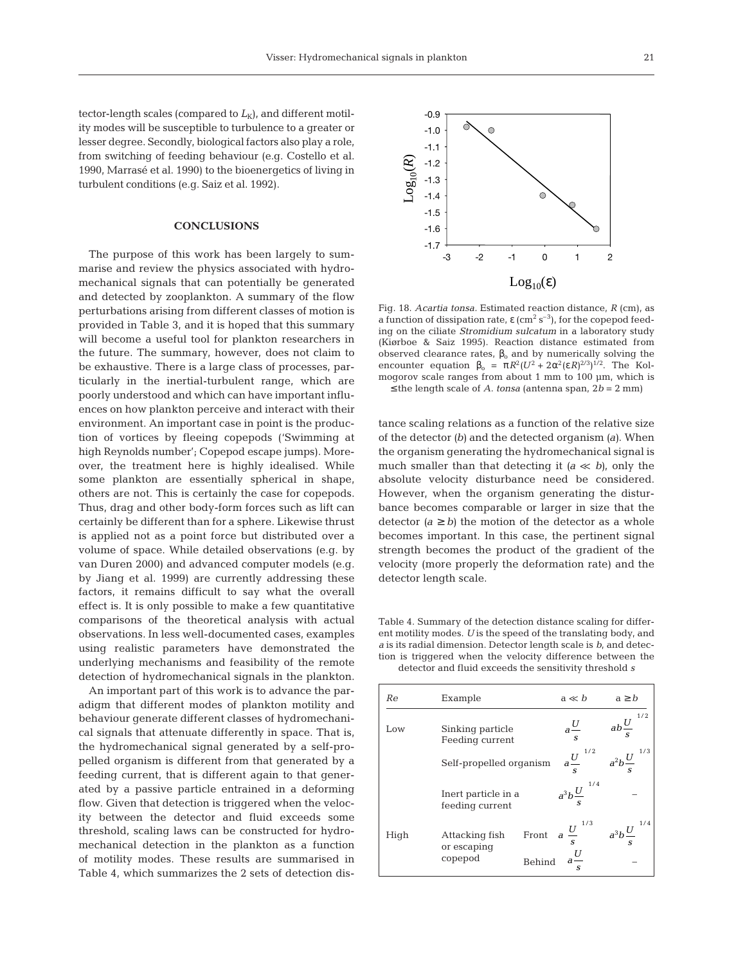tector-length scales (compared to  $L_K$ ), and different motility modes will be susceptible to turbulence to a greater or lesser degree. Secondly, biological factors also play a role, from switching of feeding behaviour (e.g. Costello et al. 1990, Marrasé et al. 1990) to the bioenergetics of living in turbulent conditions (e.g. Saiz et al. 1992).

## **CONCLUSIONS**

The purpose of this work has been largely to summarise and review the physics associated with hydromechanical signals that can potentially be generated and detected by zooplankton. A summary of the flow perturbations arising from different classes of motion is provided in Table 3, and it is hoped that this summary will become a useful tool for plankton researchers in the future. The summary, however, does not claim to be exhaustive. There is a large class of processes, particularly in the inertial-turbulent range, which are poorly understood and which can have important influences on how plankton perceive and interact with their environment. An important case in point is the production of vortices by fleeing copepods ('Swimming at high Reynolds number'; Copepod escape jumps). Moreover, the treatment here is highly idealised. While some plankton are essentially spherical in shape, others are not. This is certainly the case for copepods. Thus, drag and other body-form forces such as lift can certainly be different than for a sphere. Likewise thrust is applied not as a point force but distributed over a volume of space. While detailed observations (e.g. by van Duren 2000) and advanced computer models (e.g. by Jiang et al. 1999) are currently addressing these factors, it remains difficult to say what the overall effect is. It is only possible to make a few quantitative comparisons of the theoretical analysis with actual observations. In less well-documented cases, examples using realistic parameters have demonstrated the underlying mechanisms and feasibility of the remote detection of hydromechanical signals in the plankton.

An important part of this work is to advance the paradigm that different modes of plankton motility and behaviour generate different classes of hydromechanical signals that attenuate differently in space. That is, the hydromechanical signal generated by a self-propelled organism is different from that generated by a feeding current, that is different again to that generated by a passive particle entrained in a deforming flow. Given that detection is triggered when the velocity between the detector and fluid exceeds some threshold, scaling laws can be constructed for hydromechanical detection in the plankton as a function of motility modes. These results are summarised in Table 4, which summarizes the 2 sets of detection dis-



Fig. 18. *Acartia tonsa.* Estimated reaction distance, *R* (cm), as a function of dissipation rate, ε (cm<sup>2</sup> s<sup>-3</sup>), for the copepod feeding on the ciliate *Stromidium sulcatum* in a laboratory study (Kiørboe & Saiz 1995). Reaction distance estimated from observed clearance rates,  $β_0$  and by numerically solving the encounter equation  $\beta_0 = \pi R^2 (U^2 + 2\alpha^2 (\epsilon R)^{2/3})^{1/2}$ . The Kolmogorov scale ranges from about 1 mm to 100 µm, which is

≤ the length scale of *A. tonsa* (antenna span, 2*b* = 2 mm)

tance scaling relations as a function of the relative size of the detector *(b)* and the detected organism *(a)*. When the organism generating the hydromechanical signal is much smaller than that detecting it  $(a \ll b)$ , only the absolute velocity disturbance need be considered. However, when the organism generating the disturbance becomes comparable or larger in size that the detector  $(a \ge b)$  the motion of the detector as a whole becomes important. In this case, the pertinent signal strength becomes the product of the gradient of the velocity (more properly the deformation rate) and the detector length scale.

Table 4. Summary of the detection distance scaling for different motility modes. *U* is the speed of the translating body, and *a* is its radial dimension. Detector length scale is *b*, and detection is triggered when the velocity difference between the detector and fluid exceeds the sensitivity threshold *s*

| Re   | Example                                  | $a \ll b$                                                                            | $a \geq b$                                                             |
|------|------------------------------------------|--------------------------------------------------------------------------------------|------------------------------------------------------------------------|
| Low  | Sinking particle<br>Feeding current      |                                                                                      | $rac{U}{s}$ $\left( ab\frac{U}{s}\right)^{1/2}$                        |
|      | Self-propelled organism                  |                                                                                      | $\left(a\frac{U}{s}\right)^{1/2}$ $\left(a^2b\frac{U}{s}\right)^{1/3}$ |
|      | Inert particle in a<br>feeding current   | $\left(a^3b\frac{U}{c}\right)^{1/2}$                                                 |                                                                        |
| High | Attacking fish<br>or escaping<br>copepod | Front $a\left(\frac{U}{s}\right)^{1/3} \left(a^3b\frac{U}{s}\right)^{1/4}$<br>Behind |                                                                        |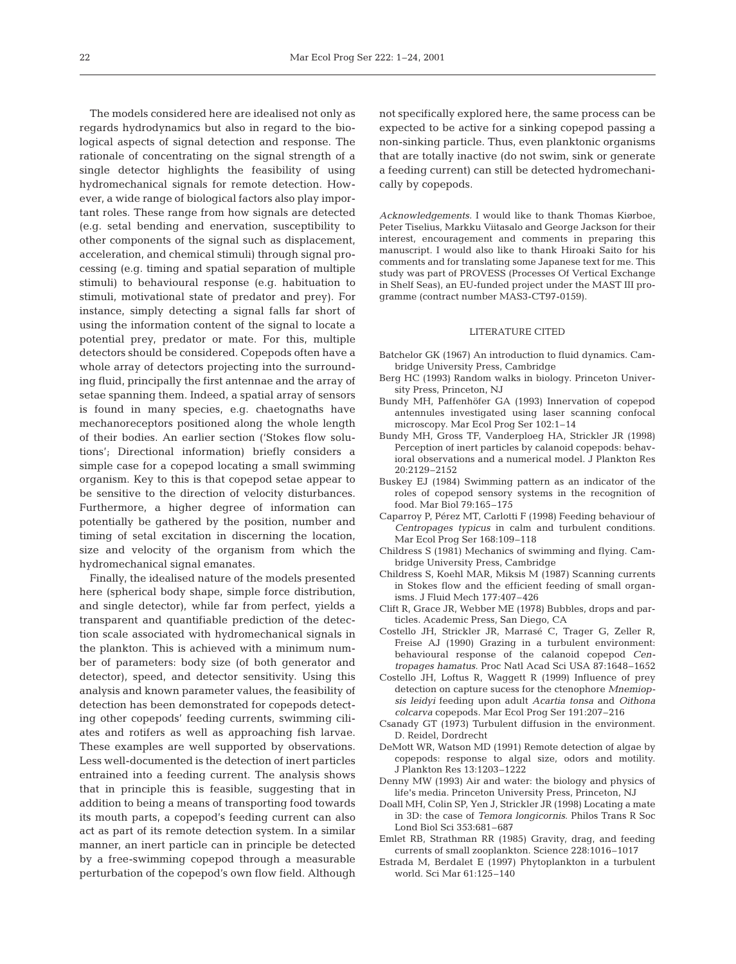The models considered here are idealised not only as regards hydrodynamics but also in regard to the biological aspects of signal detection and response. The rationale of concentrating on the signal strength of a single detector highlights the feasibility of using hydromechanical signals for remote detection. However, a wide range of biological factors also play important roles. These range from how signals are detected (e.g. setal bending and enervation, susceptibility to other components of the signal such as displacement, acceleration, and chemical stimuli) through signal processing (e.g. timing and spatial separation of multiple stimuli) to behavioural response (e.g. habituation to stimuli, motivational state of predator and prey). For instance, simply detecting a signal falls far short of using the information content of the signal to locate a potential prey, predator or mate. For this, multiple detectors should be considered. Copepods often have a whole array of detectors projecting into the surrounding fluid, principally the first antennae and the array of setae spanning them. Indeed, a spatial array of sensors is found in many species, e.g. chaetognaths have mechanoreceptors positioned along the whole length of their bodies. An earlier section ('Stokes flow solutions'; Directional information) briefly considers a simple case for a copepod locating a small swimming organism. Key to this is that copepod setae appear to be sensitive to the direction of velocity disturbances. Furthermore, a higher degree of information can potentially be gathered by the position, number and timing of setal excitation in discerning the location, size and velocity of the organism from which the hydromechanical signal emanates.

Finally, the idealised nature of the models presented here (spherical body shape, simple force distribution, and single detector), while far from perfect, yields a transparent and quantifiable prediction of the detection scale associated with hydromechanical signals in the plankton. This is achieved with a minimum number of parameters: body size (of both generator and detector), speed, and detector sensitivity. Using this analysis and known parameter values, the feasibility of detection has been demonstrated for copepods detecting other copepods' feeding currents, swimming ciliates and rotifers as well as approaching fish larvae. These examples are well supported by observations. Less well-documented is the detection of inert particles entrained into a feeding current. The analysis shows that in principle this is feasible, suggesting that in addition to being a means of transporting food towards its mouth parts, a copepod's feeding current can also act as part of its remote detection system. In a similar manner, an inert particle can in principle be detected by a free-swimming copepod through a measurable perturbation of the copepod's own flow field. Although

not specifically explored here, the same process can be expected to be active for a sinking copepod passing a non-sinking particle. Thus, even planktonic organisms that are totally inactive (do not swim, sink or generate a feeding current) can still be detected hydromechanically by copepods.

*Acknowledgements.* I would like to thank Thomas Kiørboe, Peter Tiselius, Markku Viitasalo and George Jackson for their interest, encouragement and comments in preparing this manuscript. I would also like to thank Hiroaki Saito for his comments and for translating some Japanese text for me. This study was part of PROVESS (Processes Of Vertical Exchange in Shelf Seas), an EU-funded project under the MAST III programme (contract number MAS3-CT97-0159).

# LITERATURE CITED

- Batchelor GK (1967) An introduction to fluid dynamics. Cambridge University Press, Cambridge
- Berg HC (1993) Random walks in biology. Princeton University Press, Princeton, NJ
- Bundy MH, Paffenhöfer GA (1993) Innervation of copepod antennules investigated using laser scanning confocal microscopy. Mar Ecol Prog Ser 102:1–14
- Bundy MH, Gross TF, Vanderploeg HA, Strickler JR (1998) Perception of inert particles by calanoid copepods: behavioral observations and a numerical model. J Plankton Res 20:2129–2152
- Buskey EJ (1984) Swimming pattern as an indicator of the roles of copepod sensory systems in the recognition of food. Mar Biol 79:165–175
- Caparroy P, Pérez MT, Carlotti F (1998) Feeding behaviour of *Centropages typicus* in calm and turbulent conditions. Mar Ecol Prog Ser 168:109–118
- Childress S (1981) Mechanics of swimming and flying. Cambridge University Press, Cambridge
- Childress S, Koehl MAR, Miksis M (1987) Scanning currents in Stokes flow and the efficient feeding of small organisms. J Fluid Mech 177:407–426
- Clift R, Grace JR, Webber ME (1978) Bubbles, drops and particles. Academic Press, San Diego, CA
- Costello JH, Strickler JR, Marrasé C, Trager G, Zeller R, Freise AJ (1990) Grazing in a turbulent environment: behavioural response of the calanoid copepod *Centropages hamatus*. Proc Natl Acad Sci USA 87:1648–1652
- Costello JH, Loftus R, Waggett R (1999) Influence of prey detection on capture sucess for the ctenophore *Mnemiopsis leidyi* feeding upon adult *Acartia tonsa* and *Oithona colcarva* copepods. Mar Ecol Prog Ser 191:207–216
- Csanady GT (1973) Turbulent diffusion in the environment. D. Reidel, Dordrecht
- DeMott WR, Watson MD (1991) Remote detection of algae by copepods: response to algal size, odors and motility. J Plankton Res 13:1203–1222
- Denny MW (1993) Air and water: the biology and physics of life's media. Princeton University Press, Princeton, NJ
- Doall MH, Colin SP, Yen J, Strickler JR (1998) Locating a mate in 3D: the case of *Temora longicornis*. Philos Trans R Soc Lond Biol Sci 353:681–687
- Emlet RB, Strathman RR (1985) Gravity, drag, and feeding currents of small zooplankton. Science 228:1016–1017
- Estrada M, Berdalet E (1997) Phytoplankton in a turbulent world. Sci Mar 61:125–140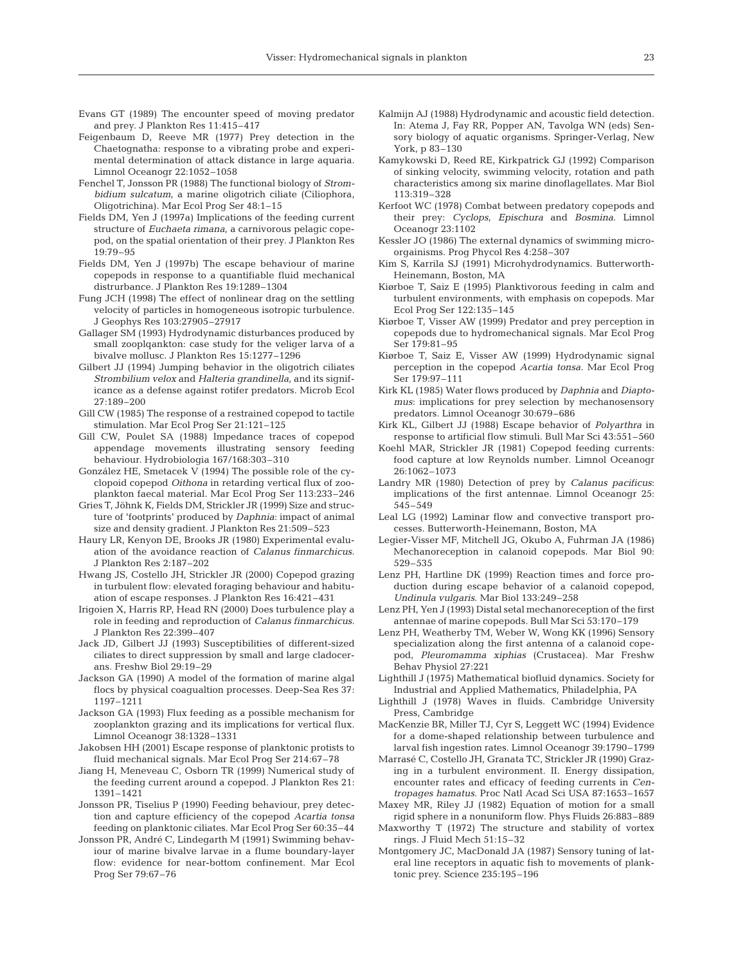- Evans GT (1989) The encounter speed of moving predator and prey. J Plankton Res 11:415–417
- Feigenbaum D, Reeve MR (1977) Prey detection in the Chaetognatha: response to a vibrating probe and experimental determination of attack distance in large aquaria. Limnol Oceanogr 22:1052–1058
- Fenchel T, Jonsson PR (1988) The functional biology of *Strombidium sulcatum*, a marine oligotrich ciliate (Ciliophora, Oligotrichina). Mar Ecol Prog Ser 48:1–15
- Fields DM, Yen J (1997a) Implications of the feeding current structure of *Euchaeta rimana*, a carnivorous pelagic copepod, on the spatial orientation of their prey. J Plankton Res 19:79–95
- Fields DM, Yen J (1997b) The escape behaviour of marine copepods in response to a quantifiable fluid mechanical distrurbance. J Plankton Res 19:1289–1304
- Fung JCH (1998) The effect of nonlinear drag on the settling velocity of particles in homogeneous isotropic turbulence. J Geophys Res 103:27905–27917
- Gallager SM (1993) Hydrodynamic disturbances produced by small zooplqankton: case study for the veliger larva of a bivalve mollusc. J Plankton Res 15:1277–1296
- Gilbert JJ (1994) Jumping behavior in the oligotrich ciliates *Strombilium velox* and *Halteria grandinella*, and its significance as a defense against rotifer predators. Microb Ecol 27:189–200
- Gill CW (1985) The response of a restrained copepod to tactile stimulation. Mar Ecol Prog Ser 21:121–125
- Gill CW, Poulet SA (1988) Impedance traces of copepod appendage movements illustrating sensory feeding behaviour. Hydrobiologia 167/168:303–310
- González HE, Smetacek V (1994) The possible role of the cyclopoid copepod *Oithona* in retarding vertical flux of zooplankton faecal material. Mar Ecol Prog Ser 113:233–246
- Gries T, Jöhnk K, Fields DM, Strickler JR (1999) Size and structure of 'footprints' produced by *Daphnia*: impact of animal size and density gradient. J Plankton Res 21:509–523
- Haury LR, Kenyon DE, Brooks JR (1980) Experimental evaluation of the avoidance reaction of *Calanus finmarchicus*. J Plankton Res 2:187–202
- Hwang JS, Costello JH, Strickler JR (2000) Copepod grazing in turbulent flow: elevated foraging behaviour and habituation of escape responses. J Plankton Res 16:421–431
- Irigoien X, Harris RP, Head RN (2000) Does turbulence play a role in feeding and reproduction of *Calanus finmarchicus*. J Plankton Res 22:399–407
- Jack JD, Gilbert JJ (1993) Susceptibilities of different-sized ciliates to direct suppression by small and large cladocerans. Freshw Biol 29:19–29
- Jackson GA (1990) A model of the formation of marine algal flocs by physical coagualtion processes. Deep-Sea Res 37: 1197–1211
- Jackson GA (1993) Flux feeding as a possible mechanism for zooplankton grazing and its implications for vertical flux. Limnol Oceanogr 38:1328–1331
- Jakobsen HH (2001) Escape response of planktonic protists to fluid mechanical signals. Mar Ecol Prog Ser 214:67–78
- Jiang H, Meneveau C, Osborn TR (1999) Numerical study of the feeding current around a copepod. J Plankton Res 21: 1391–1421
- Jonsson PR, Tiselius P (1990) Feeding behaviour, prey detection and capture efficiency of the copepod *Acartia tonsa* feeding on planktonic ciliates. Mar Ecol Prog Ser 60:35–44
- Jonsson PR, André C, Lindegarth M (1991) Swimming behaviour of marine bivalve larvae in a flume boundary-layer flow: evidence for near-bottom confinement. Mar Ecol Prog Ser 79:67–76
- Kalmijn AJ (1988) Hydrodynamic and acoustic field detection. In: Atema J, Fay RR, Popper AN, Tavolga WN (eds) Sensory biology of aquatic organisms. Springer-Verlag, New York, p 83–130
- Kamykowski D, Reed RE, Kirkpatrick GJ (1992) Comparison of sinking velocity, swimming velocity, rotation and path characteristics among six marine dinoflagellates. Mar Biol 113:319–328
- Kerfoot WC (1978) Combat between predatory copepods and their prey: *Cyclops*, *Epischura* and *Bosmina*. Limnol Oceanogr 23:1102
- Kessler JO (1986) The external dynamics of swimming microorgainisms. Prog Phycol Res 4:258–307
- Kim S, Karrila SJ (1991) Microhydrodynamics. Butterworth-Heinemann, Boston, MA
- Kiørboe T, Saiz E (1995) Planktivorous feeding in calm and turbulent environments, with emphasis on copepods. Mar Ecol Prog Ser 122:135–145
- Kiørboe T, Visser AW (1999) Predator and prey perception in copepods due to hydromechanical signals. Mar Ecol Prog Ser 179:81–95
- Kiørboe T, Saiz E, Visser AW (1999) Hydrodynamic signal perception in the copepod *Acartia tonsa*. Mar Ecol Prog Ser 179:97–111
- Kirk KL (1985) Water flows produced by *Daphnia* and *Diaptomus*: implications for prey selection by mechanosensory predators. Limnol Oceanogr 30:679–686
- Kirk KL, Gilbert JJ (1988) Escape behavior of *Polyarthra* in response to artificial flow stimuli. Bull Mar Sci 43:551–560
- Koehl MAR, Strickler JR (1981) Copepod feeding currents: food capture at low Reynolds number. Limnol Oceanogr 26:1062–1073
- Landry MR (1980) Detection of prey by *Calanus pacificus*: implications of the first antennae. Limnol Oceanogr 25: 545–549
- Leal LG (1992) Laminar flow and convective transport processes. Butterworth-Heinemann, Boston, MA
- Legier-Visser MF, Mitchell JG, Okubo A, Fuhrman JA (1986) Mechanoreception in calanoid copepods. Mar Biol 90: 529–535
- Lenz PH, Hartline DK (1999) Reaction times and force production during escape behavior of a calanoid copepod, *Undinula vulgaris*. Mar Biol 133:249–258
- Lenz PH, Yen J (1993) Distal setal mechanoreception of the first antennae of marine copepods. Bull Mar Sci 53:170–179
- Lenz PH, Weatherby TM, Weber W, Wong KK (1996) Sensory specialization along the first antenna of a calanoid copepod, *Pleuromamma xiphias* (Crustacea). Mar Freshw Behav Physiol 27:221
- Lighthill J (1975) Mathematical biofluid dynamics. Society for Industrial and Applied Mathematics, Philadelphia, PA
- Lighthill J (1978) Waves in fluids. Cambridge University Press, Cambridge
- MacKenzie BR, Miller TJ, Cyr S, Leggett WC (1994) Evidence for a dome-shaped relationship between turbulence and larval fish ingestion rates. Limnol Oceanogr 39:1790–1799
- Marrasé C, Costello JH, Granata TC, Strickler JR (1990) Grazing in a turbulent environment. II. Energy dissipation, encounter rates and efficacy of feeding currents in *Centropages hamatus*. Proc Natl Acad Sci USA 87:1653–1657
- Maxey MR, Riley JJ (1982) Equation of motion for a small rigid sphere in a nonuniform flow. Phys Fluids 26:883–889
- Maxworthy T (1972) The structure and stability of vortex rings. J Fluid Mech 51:15–32
- Montgomery JC, MacDonald JA (1987) Sensory tuning of lateral line receptors in aquatic fish to movements of planktonic prey. Science 235:195–196